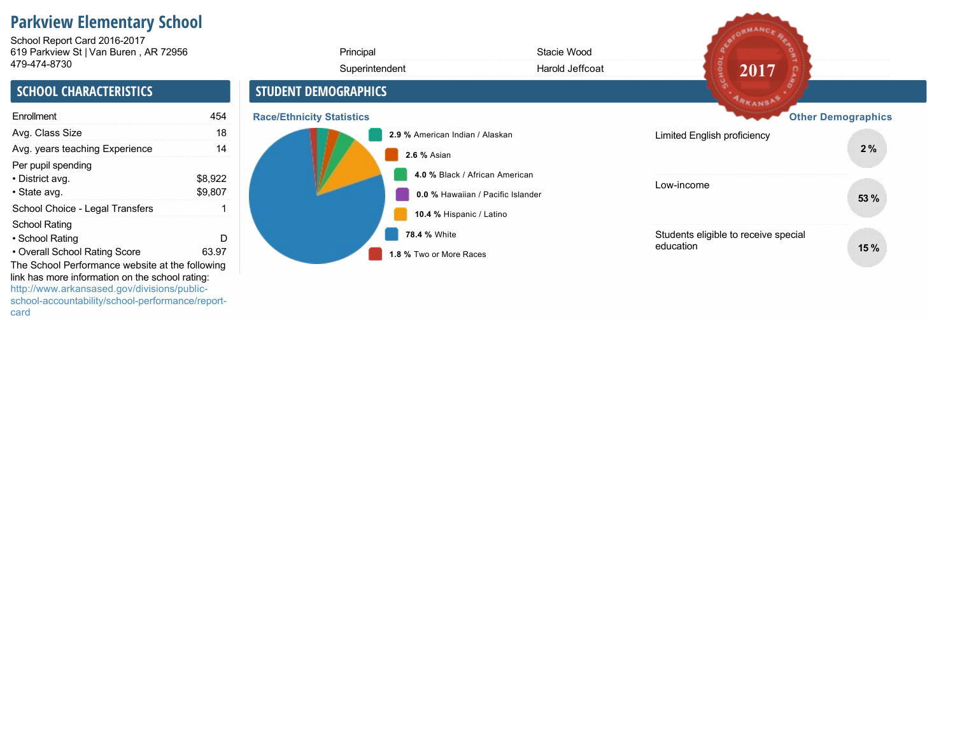# **Parkview Elementary School**

619 Parkview St | Van Buren , AR 72956 479-474-8730 School Report Card 2016-2017

| 619 Parkview St   Van Buren, AR 72956                                                                                                              |                    | Principal                               | Stacie Wood                                                         |                                                   |                           |
|----------------------------------------------------------------------------------------------------------------------------------------------------|--------------------|-----------------------------------------|---------------------------------------------------------------------|---------------------------------------------------|---------------------------|
| 479-474-8730                                                                                                                                       |                    | Superintendent                          | Harold Jeffcoat                                                     | 2017                                              |                           |
| <b>SCHOOL CHARACTERISTICS</b>                                                                                                                      |                    | <b>STUDENT DEMOGRAPHICS</b>             |                                                                     | ARKANSAS                                          |                           |
| Enrollment                                                                                                                                         | 454                | <b>Race/Ethnicity Statistics</b>        |                                                                     |                                                   | <b>Other Demographics</b> |
| Avg. Class Size                                                                                                                                    | 18                 | 2.9 % American Indian / Alaskan         |                                                                     | Limited English proficiency                       |                           |
| Avg. years teaching Experience                                                                                                                     | 14                 | 2.6 % Asian                             |                                                                     |                                                   | 2%                        |
| Per pupil spending<br>• District avg.<br>• State avg.                                                                                              | \$8,922<br>\$9,807 |                                         | 4.0 % Black / African American<br>0.0 % Hawaiian / Pacific Islander | Low-income                                        | 53 %                      |
| School Choice - Legal Transfers                                                                                                                    |                    | 10.4 % Hispanic / Latino                |                                                                     |                                                   |                           |
| <b>School Rating</b><br>• School Rating<br>• Overall School Rating Score<br>The School Performance website at the following                        | D<br>63.97         | 78.4 % White<br>1.8 % Two or More Races |                                                                     | Students eligible to receive special<br>education | 15%                       |
| link has more information on the school rating:<br>http://www.arkansased.gov/divisions/public-<br>school-accountability/school-performance/report- |                    |                                         |                                                                     |                                                   |                           |

REDRMANCE REA

card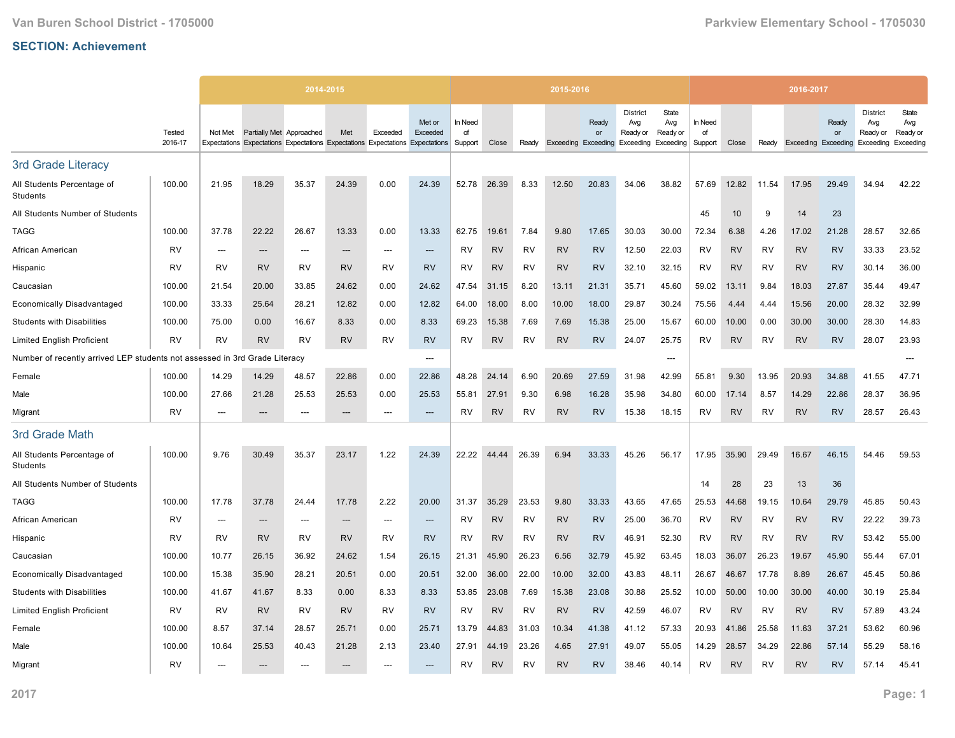|                                                                            |                   |                          |                          | 2014-2015                                                                     |           |           |                    |                          |           |           | 2015-2016 |                                           |                                                                  |                          |                          |           |           | 2016-2017                  |             |                                                 |                                       |
|----------------------------------------------------------------------------|-------------------|--------------------------|--------------------------|-------------------------------------------------------------------------------|-----------|-----------|--------------------|--------------------------|-----------|-----------|-----------|-------------------------------------------|------------------------------------------------------------------|--------------------------|--------------------------|-----------|-----------|----------------------------|-------------|-------------------------------------------------|---------------------------------------|
|                                                                            | Tested<br>2016-17 | Not Met                  | Partially Met Approached | Expectations Expectations Expectations Expectations Expectations Expectations | Met       | Exceeded  | Met or<br>Exceeded | In Need<br>of<br>Support | Close     | Ready     |           | Ready<br>or<br><b>Exceeding Exceeding</b> | <b>District</b><br>Avg<br>Ready or<br><b>Exceeding Exceeding</b> | State<br>Avg<br>Ready or | In Need<br>of<br>Support | Close     | Ready     | <b>Exceeding Exceeding</b> | Ready<br>or | <b>District</b><br>Avg<br>Ready or<br>Exceeding | State<br>Avg<br>Ready or<br>Exceeding |
| 3rd Grade Literacy                                                         |                   |                          |                          |                                                                               |           |           |                    |                          |           |           |           |                                           |                                                                  |                          |                          |           |           |                            |             |                                                 |                                       |
| All Students Percentage of<br>Students                                     | 100.00            | 21.95                    | 18.29                    | 35.37                                                                         | 24.39     | 0.00      | 24.39              | 52.78                    | 26.39     | 8.33      | 12.50     | 20.83                                     | 34.06                                                            | 38.82                    | 57.69                    | 12.82     | 11.54     | 17.95                      | 29.49       | 34.94                                           | 42.22                                 |
| All Students Number of Students                                            |                   |                          |                          |                                                                               |           |           |                    |                          |           |           |           |                                           |                                                                  |                          | 45                       | 10        | 9         | 14                         | 23          |                                                 |                                       |
| <b>TAGG</b>                                                                | 100.00            | 37.78                    | 22.22                    | 26.67                                                                         | 13.33     | 0.00      | 13.33              | 62.75                    | 19.61     | 7.84      | 9.80      | 17.65                                     | 30.03                                                            | 30.00                    | 72.34                    | 6.38      | 4.26      | 17.02                      | 21.28       | 28.57                                           | 32.65                                 |
| African American                                                           | <b>RV</b>         | $---$                    | $---$                    | $---$                                                                         | $---$     | $---$     | $---$              | <b>RV</b>                | <b>RV</b> | <b>RV</b> | <b>RV</b> | <b>RV</b>                                 | 12.50                                                            | 22.03                    | RV                       | <b>RV</b> | <b>RV</b> | <b>RV</b>                  | <b>RV</b>   | 33.33                                           | 23.52                                 |
| Hispanic                                                                   | <b>RV</b>         | RV                       | <b>RV</b>                | RV                                                                            | <b>RV</b> | RV        | <b>RV</b>          | RV                       | <b>RV</b> | RV        | <b>RV</b> | <b>RV</b>                                 | 32.10                                                            | 32.15                    | <b>RV</b>                | <b>RV</b> | RV        | <b>RV</b>                  | <b>RV</b>   | 30.14                                           | 36.00                                 |
| Caucasian                                                                  | 100.00            | 21.54                    | 20.00                    | 33.85                                                                         | 24.62     | 0.00      | 24.62              | 47.54                    | 31.15     | 8.20      | 13.11     | 21.31                                     | 35.71                                                            | 45.60                    | 59.02                    | 13.11     | 9.84      | 18.03                      | 27.87       | 35.44                                           | 49.47                                 |
| <b>Economically Disadvantaged</b>                                          | 100.00            | 33.33                    | 25.64                    | 28.21                                                                         | 12.82     | 0.00      | 12.82              | 64.00                    | 18.00     | 8.00      | 10.00     | 18.00                                     | 29.87                                                            | 30.24                    | 75.56                    | 4.44      | 4.44      | 15.56                      | 20.00       | 28.32                                           | 32.99                                 |
| <b>Students with Disabilities</b>                                          | 100.00            | 75.00                    | 0.00                     | 16.67                                                                         | 8.33      | 0.00      | 8.33               | 69.23                    | 15.38     | 7.69      | 7.69      | 15.38                                     | 25.00                                                            | 15.67                    | 60.00                    | 10.00     | 0.00      | 30.00                      | 30.00       | 28.30                                           | 14.83                                 |
| <b>Limited English Proficient</b>                                          | <b>RV</b>         | RV                       | <b>RV</b>                | RV                                                                            | <b>RV</b> | RV        | <b>RV</b>          | RV                       | <b>RV</b> | RV        | <b>RV</b> | <b>RV</b>                                 | 24.07                                                            | 25.75                    | RV                       | <b>RV</b> | RV        | <b>RV</b>                  | <b>RV</b>   | 28.07                                           | 23.93                                 |
| Number of recently arrived LEP students not assessed in 3rd Grade Literacy |                   |                          |                          |                                                                               |           |           | $---$              |                          |           |           |           |                                           |                                                                  | ---                      |                          |           |           |                            |             |                                                 | ---                                   |
| Female                                                                     | 100.00            | 14.29                    | 14.29                    | 48.57                                                                         | 22.86     | 0.00      | 22.86              | 48.28                    | 24.14     | 6.90      | 20.69     | 27.59                                     | 31.98                                                            | 42.99                    | 55.81                    | 9.30      | 13.95     | 20.93                      | 34.88       | 41.55                                           | 47.71                                 |
| Male                                                                       | 100.00            | 27.66                    | 21.28                    | 25.53                                                                         | 25.53     | 0.00      | 25.53              | 55.81                    | 27.91     | 9.30      | 6.98      | 16.28                                     | 35.98                                                            | 34.80                    | 60.00                    | 17.14     | 8.57      | 14.29                      | 22.86       | 28.37                                           | 36.95                                 |
| Migrant                                                                    | <b>RV</b>         | $---$                    | ---                      | $---$                                                                         | $---$     | $---$     | $---$              | RV                       | <b>RV</b> | <b>RV</b> | <b>RV</b> | <b>RV</b>                                 | 15.38                                                            | 18.15                    | <b>RV</b>                | <b>RV</b> | <b>RV</b> | <b>RV</b>                  | <b>RV</b>   | 28.57                                           | 26.43                                 |
| 3rd Grade Math                                                             |                   |                          |                          |                                                                               |           |           |                    |                          |           |           |           |                                           |                                                                  |                          |                          |           |           |                            |             |                                                 |                                       |
| All Students Percentage of<br>Students                                     | 100.00            | 9.76                     | 30.49                    | 35.37                                                                         | 23.17     | 1.22      | 24.39              | 22.22                    | 44.44     | 26.39     | 6.94      | 33.33                                     | 45.26                                                            | 56.17                    | 17.95                    | 35.90     | 29.49     | 16.67                      | 46.15       | 54.46                                           | 59.53                                 |
| All Students Number of Students                                            |                   |                          |                          |                                                                               |           |           |                    |                          |           |           |           |                                           |                                                                  |                          | 14                       | 28        | 23        | 13                         | 36          |                                                 |                                       |
| <b>TAGG</b>                                                                | 100.00            | 17.78                    | 37.78                    | 24.44                                                                         | 17.78     | 2.22      | 20.00              | 31.37                    | 35.29     | 23.53     | 9.80      | 33.33                                     | 43.65                                                            | 47.65                    | 25.53                    | 44.68     | 19.15     | 10.64                      | 29.79       | 45.85                                           | 50.43                                 |
| African American                                                           | <b>RV</b>         | $\overline{\phantom{a}}$ | $---$                    | $---$                                                                         | $---$     | $---$     | $---$              | RV                       | <b>RV</b> | <b>RV</b> | <b>RV</b> | <b>RV</b>                                 | 25.00                                                            | 36.70                    | RV                       | <b>RV</b> | <b>RV</b> | <b>RV</b>                  | <b>RV</b>   | 22.22                                           | 39.73                                 |
| Hispanic                                                                   | <b>RV</b>         | RV                       | <b>RV</b>                | RV                                                                            | <b>RV</b> | RV        | <b>RV</b>          | RV                       | <b>RV</b> | RV        | <b>RV</b> | <b>RV</b>                                 | 46.91                                                            | 52.30                    | <b>RV</b>                | <b>RV</b> | RV        | <b>RV</b>                  | <b>RV</b>   | 53.42                                           | 55.00                                 |
| Caucasian                                                                  | 100.00            | 10.77                    | 26.15                    | 36.92                                                                         | 24.62     | 1.54      | 26.15              | 21.31                    | 45.90     | 26.23     | 6.56      | 32.79                                     | 45.92                                                            | 63.45                    | 18.03                    | 36.07     | 26.23     | 19.67                      | 45.90       | 55.44                                           | 67.01                                 |
| <b>Economically Disadvantaged</b>                                          | 100.00            | 15.38                    | 35.90                    | 28.21                                                                         | 20.51     | 0.00      | 20.51              | 32.00                    | 36.00     | 22.00     | 10.00     | 32.00                                     | 43.83                                                            | 48.11                    | 26.67                    | 46.67     | 17.78     | 8.89                       | 26.67       | 45.45                                           | 50.86                                 |
| <b>Students with Disabilities</b>                                          | 100.00            | 41.67                    | 41.67                    | 8.33                                                                          | 0.00      | 8.33      | 8.33               | 53.85                    | 23.08     | 7.69      | 15.38     | 23.08                                     | 30.88                                                            | 25.52                    | 10.00                    | 50.00     | 10.00     | 30.00                      | 40.00       | 30.19                                           | 25.84                                 |
| <b>Limited English Proficient</b>                                          | RV                | <b>RV</b>                | <b>RV</b>                | RV                                                                            | <b>RV</b> | <b>RV</b> | <b>RV</b>          | RV                       | <b>RV</b> | RV        | <b>RV</b> | <b>RV</b>                                 | 42.59                                                            | 46.07                    | RV                       | <b>RV</b> | RV        | <b>RV</b>                  | <b>RV</b>   | 57.89                                           | 43.24                                 |
| Female                                                                     | 100.00            | 8.57                     | 37.14                    | 28.57                                                                         | 25.71     | 0.00      | 25.71              | 13.79                    | 44.83     | 31.03     | 10.34     | 41.38                                     | 41.12                                                            | 57.33                    | 20.93                    | 41.86     | 25.58     | 11.63                      | 37.21       | 53.62                                           | 60.96                                 |
| Male                                                                       | 100.00            | 10.64                    | 25.53                    | 40.43                                                                         | 21.28     | 2.13      | 23.40              | 27.91                    | 44.19     | 23.26     | 4.65      | 27.91                                     | 49.07                                                            | 55.05                    | 14.29                    | 28.57     | 34.29     | 22.86                      | 57.14       | 55.29                                           | 58.16                                 |
| Migrant                                                                    | <b>RV</b>         | $---$                    | $---$                    | ---                                                                           | $---$     | $---$     | $---$              | RV                       | <b>RV</b> | <b>RV</b> | <b>RV</b> | <b>RV</b>                                 | 38.46                                                            | 40.14                    | RV                       | <b>RV</b> | <b>RV</b> | <b>RV</b>                  | <b>RV</b>   | 57.14                                           | 45.41                                 |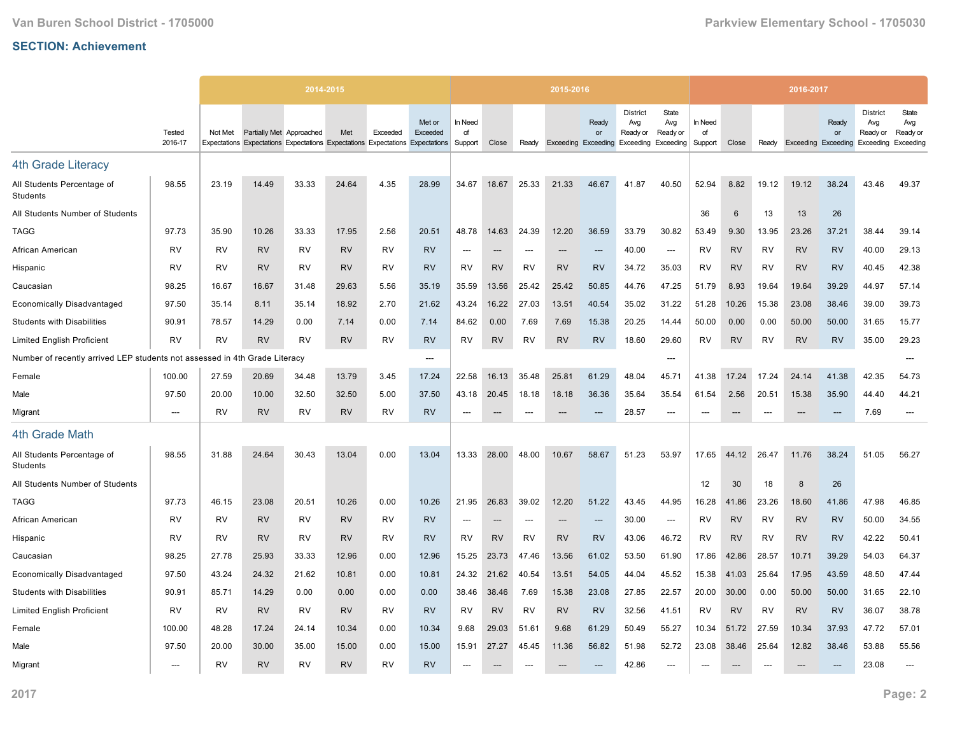|                                                             |                          |           |                          | 2014-2015 |           |           |                                                                                                     |                          |           |           | 2015-2016 |                                           |                                                                  |                                 |                          |           |           | 2016-2017                  |             |                                                 |                                       |
|-------------------------------------------------------------|--------------------------|-----------|--------------------------|-----------|-----------|-----------|-----------------------------------------------------------------------------------------------------|--------------------------|-----------|-----------|-----------|-------------------------------------------|------------------------------------------------------------------|---------------------------------|--------------------------|-----------|-----------|----------------------------|-------------|-------------------------------------------------|---------------------------------------|
|                                                             | Tested<br>2016-17        | Not Met   | Partially Met Approached |           | Met       | Exceeded  | Met or<br>Exceeded<br>Expectations Expectations Expectations Expectations Expectations Expectations | In Need<br>of<br>Support | Close     | Ready     |           | Readv<br>or<br><b>Exceeding Exceeding</b> | <b>District</b><br>Avg<br>Ready or<br><b>Exceeding Exceeding</b> | <b>State</b><br>Avg<br>Ready or | In Need<br>of<br>Support | Close     | Ready     | <b>Exceeding Exceeding</b> | Ready<br>or | <b>District</b><br>Avg<br>Ready or<br>Exceeding | State<br>Avg<br>Ready or<br>Exceeding |
|                                                             |                          |           |                          |           |           |           |                                                                                                     |                          |           |           |           |                                           |                                                                  |                                 |                          |           |           |                            |             |                                                 |                                       |
| <b>4th Grade Literacy</b>                                   |                          |           |                          |           |           |           |                                                                                                     |                          |           |           |           |                                           |                                                                  |                                 |                          |           |           |                            |             |                                                 |                                       |
| All Students Percentage of<br>Students                      | 98.55                    | 23.19     | 14.49                    | 33.33     | 24.64     | 4.35      | 28.99                                                                                               | 34.67                    | 18.67     | 25.33     | 21.33     | 46.67                                     | 41.87                                                            | 40.50                           | 52.94                    | 8.82      | 19.12     | 19.12                      | 38.24       | 43.46                                           | 49.37                                 |
| All Students Number of Students                             |                          |           |                          |           |           |           |                                                                                                     |                          |           |           |           |                                           |                                                                  |                                 | 36                       | 6         | 13        | 13                         | 26          |                                                 |                                       |
| <b>TAGG</b>                                                 | 97.73                    | 35.90     | 10.26                    | 33.33     | 17.95     | 2.56      | 20.51                                                                                               | 48.78                    | 14.63     | 24.39     | 12.20     | 36.59                                     | 33.79                                                            | 30.82                           | 53.49                    | 9.30      | 13.95     | 23.26                      | 37.21       | 38.44                                           | 39.14                                 |
| African American                                            | <b>RV</b>                | RV        | <b>RV</b>                | RV        | <b>RV</b> | <b>RV</b> | <b>RV</b>                                                                                           | $\overline{\phantom{a}}$ | ---       | ---       |           | ---                                       | 40.00                                                            | ---                             | RV                       | <b>RV</b> | <b>RV</b> | <b>RV</b>                  | <b>RV</b>   | 40.00                                           | 29.13                                 |
| Hispanic                                                    | <b>RV</b>                | <b>RV</b> | <b>RV</b>                | <b>RV</b> | <b>RV</b> | <b>RV</b> | <b>RV</b>                                                                                           | <b>RV</b>                | <b>RV</b> | RV        | <b>RV</b> | <b>RV</b>                                 | 34.72                                                            | 35.03                           | <b>RV</b>                | <b>RV</b> | <b>RV</b> | <b>RV</b>                  | <b>RV</b>   | 40.45                                           | 42.38                                 |
| Caucasian                                                   | 98.25                    | 16.67     | 16.67                    | 31.48     | 29.63     | 5.56      | 35.19                                                                                               | 35.59                    | 13.56     | 25.42     | 25.42     | 50.85                                     | 44.76                                                            | 47.25                           | 51.79                    | 8.93      | 19.64     | 19.64                      | 39.29       | 44.97                                           | 57.14                                 |
| <b>Economically Disadvantaged</b>                           | 97.50                    | 35.14     | 8.11                     | 35.14     | 18.92     | 2.70      | 21.62                                                                                               | 43.24                    | 16.22     | 27.03     | 13.51     | 40.54                                     | 35.02                                                            | 31.22                           | 51.28                    | 10.26     | 15.38     | 23.08                      | 38.46       | 39.00                                           | 39.73                                 |
| <b>Students with Disabilities</b>                           | 90.91                    | 78.57     | 14.29                    | 0.00      | 7.14      | 0.00      | 7.14                                                                                                | 84.62                    | 0.00      | 7.69      | 7.69      | 15.38                                     | 20.25                                                            | 14.44                           | 50.00                    | 0.00      | 0.00      | 50.00                      | 50.00       | 31.65                                           | 15.77                                 |
| <b>Limited English Proficient</b>                           | <b>RV</b>                | <b>RV</b> | <b>RV</b>                | <b>RV</b> | <b>RV</b> | <b>RV</b> | <b>RV</b>                                                                                           | <b>RV</b>                | <b>RV</b> | <b>RV</b> | <b>RV</b> | <b>RV</b>                                 | 18.60                                                            | 29.60                           | RV                       | <b>RV</b> | <b>RV</b> | <b>RV</b>                  | <b>RV</b>   | 35.00                                           | 29.23                                 |
| Number of recently arrived LEP students not assessed in 4th |                          |           | <b>Grade Literacy</b>    |           |           |           | $\overline{\phantom{a}}$                                                                            |                          |           |           |           |                                           |                                                                  | ---                             |                          |           |           |                            |             |                                                 | ---                                   |
| Female                                                      | 100.00                   | 27.59     | 20.69                    | 34.48     | 13.79     | 3.45      | 17.24                                                                                               | 22.58                    | 16.13     | 35.48     | 25.81     | 61.29                                     | 48.04                                                            | 45.71                           | 41.38                    | 17.24     | 17.24     | 24.14                      | 41.38       | 42.35                                           | 54.73                                 |
| Male                                                        | 97.50                    | 20.00     | 10.00                    | 32.50     | 32.50     | 5.00      | 37.50                                                                                               | 43.18                    | 20.45     | 18.18     | 18.18     | 36.36                                     | 35.64                                                            | 35.54                           | 61.54                    | 2.56      | 20.51     | 15.38                      | 35.90       | 44.40                                           | 44.21                                 |
| Migrant                                                     | $---$                    | <b>RV</b> | <b>RV</b>                | <b>RV</b> | <b>RV</b> | <b>RV</b> | <b>RV</b>                                                                                           |                          | ---       | ---       |           |                                           | 28.57                                                            | ---                             | ---                      | ---       |           | ---                        | ---         | 7.69                                            | ---                                   |
| 4th Grade Math                                              |                          |           |                          |           |           |           |                                                                                                     |                          |           |           |           |                                           |                                                                  |                                 |                          |           |           |                            |             |                                                 |                                       |
| All Students Percentage of<br>Students                      | 98.55                    | 31.88     | 24.64                    | 30.43     | 13.04     | 0.00      | 13.04                                                                                               | 13.33                    | 28.00     | 48.00     | 10.67     | 58.67                                     | 51.23                                                            | 53.97                           | 17.65                    | 44.12     | 26.47     | 11.76                      | 38.24       | 51.05                                           | 56.27                                 |
| All Students Number of Students                             |                          |           |                          |           |           |           |                                                                                                     |                          |           |           |           |                                           |                                                                  |                                 | 12                       | 30        | 18        | 8                          | 26          |                                                 |                                       |
| <b>TAGG</b>                                                 | 97.73                    | 46.15     | 23.08                    | 20.51     | 10.26     | 0.00      | 10.26                                                                                               | 21.95                    | 26.83     | 39.02     | 12.20     | 51.22                                     | 43.45                                                            | 44.95                           | 16.28                    | 41.86     | 23.26     | 18.60                      | 41.86       | 47.98                                           | 46.85                                 |
| African American                                            | <b>RV</b>                | RV        | <b>RV</b>                | <b>RV</b> | <b>RV</b> | RV        | <b>RV</b>                                                                                           | $\overline{\phantom{a}}$ | $---$     | ---       | ---       | ---                                       | 30.00                                                            | ---                             | RV                       | <b>RV</b> | <b>RV</b> | <b>RV</b>                  | <b>RV</b>   | 50.00                                           | 34.55                                 |
| Hispanic                                                    | RV                       | RV        | <b>RV</b>                | RV        | <b>RV</b> | RV        | <b>RV</b>                                                                                           | RV                       | <b>RV</b> | RV        | <b>RV</b> | <b>RV</b>                                 | 43.06                                                            | 46.72                           | RV                       | <b>RV</b> | RV        | <b>RV</b>                  | <b>RV</b>   | 42.22                                           | 50.41                                 |
| Caucasian                                                   | 98.25                    | 27.78     | 25.93                    | 33.33     | 12.96     | 0.00      | 12.96                                                                                               | 15.25                    | 23.73     | 47.46     | 13.56     | 61.02                                     | 53.50                                                            | 61.90                           | 17.86                    | 42.86     | 28.57     | 10.71                      | 39.29       | 54.03                                           | 64.37                                 |
| <b>Economically Disadvantaged</b>                           | 97.50                    | 43.24     | 24.32                    | 21.62     | 10.81     | 0.00      | 10.81                                                                                               | 24.32                    | 21.62     | 40.54     | 13.51     | 54.05                                     | 44.04                                                            | 45.52                           | 15.38                    | 41.03     | 25.64     | 17.95                      | 43.59       | 48.50                                           | 47.44                                 |
| <b>Students with Disabilities</b>                           | 90.91                    | 85.71     | 14.29                    | 0.00      | 0.00      | 0.00      | 0.00                                                                                                | 38.46                    | 38.46     | 7.69      | 15.38     | 23.08                                     | 27.85                                                            | 22.57                           | 20.00                    | 30.00     | 0.00      | 50.00                      | 50.00       | 31.65                                           | 22.10                                 |
| <b>Limited English Proficient</b>                           | <b>RV</b>                | RV        | <b>RV</b>                | <b>RV</b> | <b>RV</b> | <b>RV</b> | <b>RV</b>                                                                                           | <b>RV</b>                | <b>RV</b> | <b>RV</b> | <b>RV</b> | <b>RV</b>                                 | 32.56                                                            | 41.51                           | <b>RV</b>                | <b>RV</b> | <b>RV</b> | <b>RV</b>                  | <b>RV</b>   | 36.07                                           | 38.78                                 |
| Female                                                      | 100.00                   | 48.28     | 17.24                    | 24.14     | 10.34     | 0.00      | 10.34                                                                                               | 9.68                     | 29.03     | 51.61     | 9.68      | 61.29                                     | 50.49                                                            | 55.27                           | 10.34                    | 51.72     | 27.59     | 10.34                      | 37.93       | 47.72                                           | 57.01                                 |
| Male                                                        | 97.50                    | 20.00     | 30.00                    | 35.00     | 15.00     | 0.00      | 15.00                                                                                               | 15.91                    | 27.27     | 45.45     | 11.36     | 56.82                                     | 51.98                                                            | 52.72                           | 23.08                    | 38.46     | 25.64     | 12.82                      | 38.46       | 53.88                                           | 55.56                                 |
| Migrant                                                     | $\overline{\phantom{a}}$ | RV        | <b>RV</b>                | RV        | <b>RV</b> | <b>RV</b> | <b>RV</b>                                                                                           |                          |           |           |           |                                           | 42.86                                                            | ---                             | $---$                    |           |           |                            |             | 23.08                                           | ---                                   |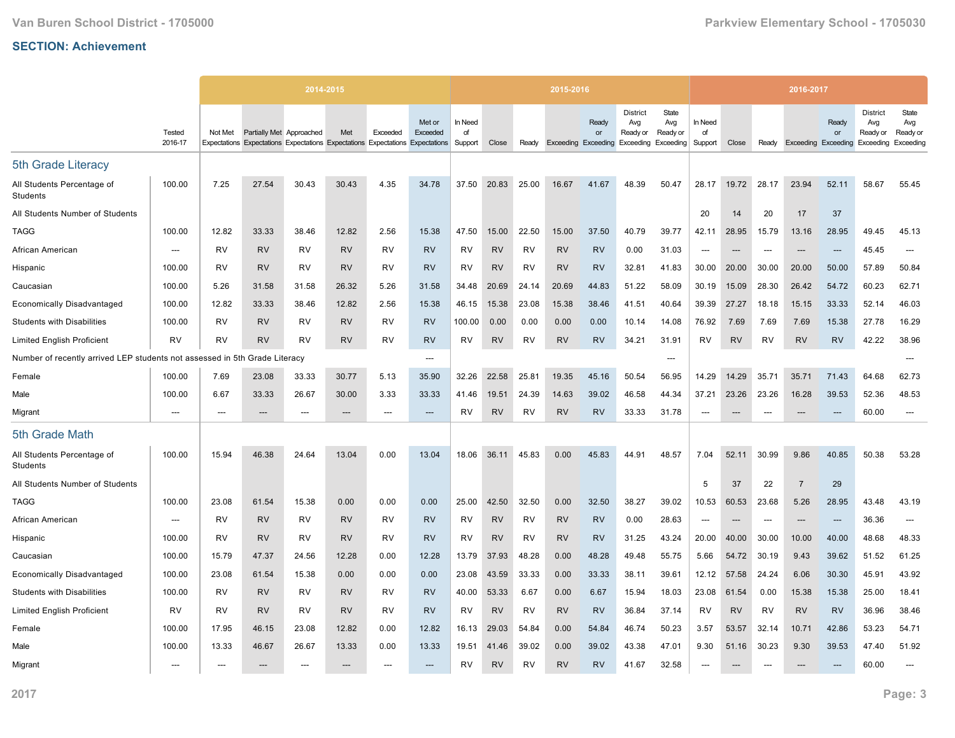|                                                             |                          |           |                          | 2014-2015 |           |           |                                                                                                     |                          |           |           | 2015-2016 |                                                        |                                    |                          |                          |           |                          | 2016-2017                  |                          |                                                 |                                       |
|-------------------------------------------------------------|--------------------------|-----------|--------------------------|-----------|-----------|-----------|-----------------------------------------------------------------------------------------------------|--------------------------|-----------|-----------|-----------|--------------------------------------------------------|------------------------------------|--------------------------|--------------------------|-----------|--------------------------|----------------------------|--------------------------|-------------------------------------------------|---------------------------------------|
|                                                             | Tested<br>2016-17        | Not Met   | Partially Met Approached |           | Met       | Exceeded  | Met or<br>Exceeded<br>Expectations Expectations Expectations Expectations Expectations Expectations | In Need<br>of<br>Support | Close     | Ready     |           | Ready<br>or<br>Exceeding Exceeding Exceeding Exceeding | <b>District</b><br>Avg<br>Ready or | State<br>Avg<br>Ready or | In Need<br>of<br>Support | Close     | Ready                    | <b>Exceeding Exceeding</b> | Ready<br>or              | <b>District</b><br>Avg<br>Ready or<br>Exceeding | State<br>Avg<br>Ready or<br>Exceeding |
| 5th Grade Literacy                                          |                          |           |                          |           |           |           |                                                                                                     |                          |           |           |           |                                                        |                                    |                          |                          |           |                          |                            |                          |                                                 |                                       |
| All Students Percentage of<br>Students                      | 100.00                   | 7.25      | 27.54                    | 30.43     | 30.43     | 4.35      | 34.78                                                                                               | 37.50                    | 20.83     | 25.00     | 16.67     | 41.67                                                  | 48.39                              | 50.47                    | 28.17                    | 19.72     | 28.17                    | 23.94                      | 52.11                    | 58.67                                           | 55.45                                 |
| All Students Number of Students                             |                          |           |                          |           |           |           |                                                                                                     |                          |           |           |           |                                                        |                                    |                          | 20                       | 14        | 20                       | 17                         | 37                       |                                                 |                                       |
| <b>TAGG</b>                                                 | 100.00                   | 12.82     | 33.33                    | 38.46     | 12.82     | 2.56      | 15.38                                                                                               | 47.50                    | 15.00     | 22.50     | 15.00     | 37.50                                                  | 40.79                              | 39.77                    | 42.11                    | 28.95     | 15.79                    | 13.16                      | 28.95                    | 49.45                                           | 45.13                                 |
| African American                                            | $\overline{\phantom{a}}$ | RV        | <b>RV</b>                | RV        | <b>RV</b> | RV        | <b>RV</b>                                                                                           | RV                       | <b>RV</b> | RV        | <b>RV</b> | <b>RV</b>                                              | 0.00                               | 31.03                    | ---                      | $---$     | $---$                    | $---$                      | $\overline{\phantom{a}}$ | 45.45                                           | $---$                                 |
| Hispanic                                                    | 100.00                   | RV        | <b>RV</b>                | <b>RV</b> | <b>RV</b> | RV        | <b>RV</b>                                                                                           | RV                       | <b>RV</b> | RV        | <b>RV</b> | <b>RV</b>                                              | 32.81                              | 41.83                    | 30.00                    | 20.00     | 30.00                    | 20.00                      | 50.00                    | 57.89                                           | 50.84                                 |
| Caucasian                                                   | 100.00                   | 5.26      | 31.58                    | 31.58     | 26.32     | 5.26      | 31.58                                                                                               | 34.48                    | 20.69     | 24.14     | 20.69     | 44.83                                                  | 51.22                              | 58.09                    | 30.19                    | 15.09     | 28.30                    | 26.42                      | 54.72                    | 60.23                                           | 62.71                                 |
| <b>Economically Disadvantaged</b>                           | 100.00                   | 12.82     | 33.33                    | 38.46     | 12.82     | 2.56      | 15.38                                                                                               | 46.15                    | 15.38     | 23.08     | 15.38     | 38.46                                                  | 41.51                              | 40.64                    | 39.39                    | 27.27     | 18.18                    | 15.15                      | 33.33                    | 52.14                                           | 46.03                                 |
| <b>Students with Disabilities</b>                           | 100.00                   | <b>RV</b> | <b>RV</b>                | <b>RV</b> | <b>RV</b> | <b>RV</b> | <b>RV</b>                                                                                           | 100.00                   | 0.00      | 0.00      | 0.00      | 0.00                                                   | 10.14                              | 14.08                    | 76.92                    | 7.69      | 7.69                     | 7.69                       | 15.38                    | 27.78                                           | 16.29                                 |
| <b>Limited English Proficient</b>                           | <b>RV</b>                | RV        | <b>RV</b>                | RV        | <b>RV</b> | RV        | <b>RV</b>                                                                                           | RV                       | <b>RV</b> | RV        | RV        | <b>RV</b>                                              | 34.21                              | 31.91                    | <b>RV</b>                | <b>RV</b> | <b>RV</b>                | <b>RV</b>                  | <b>RV</b>                | 42.22                                           | 38.96                                 |
| Number of recently arrived LEP students not assessed in 5th |                          |           | Grade Literacy           |           |           |           | $\overline{\phantom{a}}$                                                                            |                          |           |           |           |                                                        |                                    | ---                      |                          |           |                          |                            |                          |                                                 | $---$                                 |
| Female                                                      | 100.00                   | 7.69      | 23.08                    | 33.33     | 30.77     | 5.13      | 35.90                                                                                               | 32.26                    | 22.58     | 25.81     | 19.35     | 45.16                                                  | 50.54                              | 56.95                    | 14.29                    | 14.29     | 35.71                    | 35.71                      | 71.43                    | 64.68                                           | 62.73                                 |
| Male                                                        | 100.00                   | 6.67      | 33.33                    | 26.67     | 30.00     | 3.33      | 33.33                                                                                               | 41.46                    | 19.51     | 24.39     | 14.63     | 39.02                                                  | 46.58                              | 44.34                    | 37.21                    | 23.26     | 23.26                    | 16.28                      | 39.53                    | 52.36                                           | 48.53                                 |
| Migrant                                                     | ---                      | ---       | ---                      | ---       | $---$     |           | $---$                                                                                               | <b>RV</b>                | <b>RV</b> | <b>RV</b> | <b>RV</b> | <b>RV</b>                                              | 33.33                              | 31.78                    | $\overline{a}$           |           |                          |                            | $---$                    | 60.00                                           | $---$                                 |
| 5th Grade Math                                              |                          |           |                          |           |           |           |                                                                                                     |                          |           |           |           |                                                        |                                    |                          |                          |           |                          |                            |                          |                                                 |                                       |
| All Students Percentage of<br>Students                      | 100.00                   | 15.94     | 46.38                    | 24.64     | 13.04     | 0.00      | 13.04                                                                                               | 18.06                    | 36.11     | 45.83     | 0.00      | 45.83                                                  | 44.91                              | 48.57                    | 7.04                     | 52.11     | 30.99                    | 9.86                       | 40.85                    | 50.38                                           | 53.28                                 |
| All Students Number of Students                             |                          |           |                          |           |           |           |                                                                                                     |                          |           |           |           |                                                        |                                    |                          | 5                        | 37        | 22                       | $\overline{7}$             | 29                       |                                                 |                                       |
| <b>TAGG</b>                                                 | 100.00                   | 23.08     | 61.54                    | 15.38     | 0.00      | 0.00      | 0.00                                                                                                | 25.00                    | 42.50     | 32.50     | 0.00      | 32.50                                                  | 38.27                              | 39.02                    | 10.53                    | 60.53     | 23.68                    | 5.26                       | 28.95                    | 43.48                                           | 43.19                                 |
| African American                                            | $\overline{\phantom{a}}$ | RV        | <b>RV</b>                | <b>RV</b> | <b>RV</b> | <b>RV</b> | <b>RV</b>                                                                                           | <b>RV</b>                | <b>RV</b> | <b>RV</b> | RV        | <b>RV</b>                                              | 0.00                               | 28.63                    | $\overline{\phantom{a}}$ | $---$     | $\overline{\phantom{a}}$ | $\overline{\phantom{a}}$   | $\overline{\phantom{a}}$ | 36.36                                           | $---$                                 |
| Hispanic                                                    | 100.00                   | RV        | <b>RV</b>                | RV        | <b>RV</b> | RV        | <b>RV</b>                                                                                           | RV                       | <b>RV</b> | RV        | RV        | <b>RV</b>                                              | 31.25                              | 43.24                    | 20.00                    | 40.00     | 30.00                    | 10.00                      | 40.00                    | 48.68                                           | 48.33                                 |
| Caucasian                                                   | 100.00                   | 15.79     | 47.37                    | 24.56     | 12.28     | 0.00      | 12.28                                                                                               | 13.79                    | 37.93     | 48.28     | 0.00      | 48.28                                                  | 49.48                              | 55.75                    | 5.66                     | 54.72     | 30.19                    | 9.43                       | 39.62                    | 51.52                                           | 61.25                                 |
| <b>Economically Disadvantaged</b>                           | 100.00                   | 23.08     | 61.54                    | 15.38     | 0.00      | 0.00      | 0.00                                                                                                | 23.08                    | 43.59     | 33.33     | 0.00      | 33.33                                                  | 38.11                              | 39.61                    | 12.12                    | 57.58     | 24.24                    | 6.06                       | 30.30                    | 45.91                                           | 43.92                                 |
| <b>Students with Disabilities</b>                           | 100.00                   | RV        | <b>RV</b>                | RV        | <b>RV</b> | <b>RV</b> | <b>RV</b>                                                                                           | 40.00                    | 53.33     | 6.67      | 0.00      | 6.67                                                   | 15.94                              | 18.03                    | 23.08                    | 61.54     | 0.00                     | 15.38                      | 15.38                    | 25.00                                           | 18.41                                 |
| <b>Limited English Proficient</b>                           | <b>RV</b>                | <b>RV</b> | <b>RV</b>                | <b>RV</b> | <b>RV</b> | <b>RV</b> | <b>RV</b>                                                                                           | <b>RV</b>                | <b>RV</b> | <b>RV</b> | <b>RV</b> | <b>RV</b>                                              | 36.84                              | 37.14                    | <b>RV</b>                | <b>RV</b> | <b>RV</b>                | <b>RV</b>                  | <b>RV</b>                | 36.96                                           | 38.46                                 |
| Female                                                      | 100.00                   | 17.95     | 46.15                    | 23.08     | 12.82     | 0.00      | 12.82                                                                                               | 16.13                    | 29.03     | 54.84     | 0.00      | 54.84                                                  | 46.74                              | 50.23                    | 3.57                     | 53.57     | 32.14                    | 10.71                      | 42.86                    | 53.23                                           | 54.71                                 |
| Male                                                        | 100.00                   | 13.33     | 46.67                    | 26.67     | 13.33     | 0.00      | 13.33                                                                                               | 19.51                    | 41.46     | 39.02     | 0.00      | 39.02                                                  | 43.38                              | 47.01                    | 9.30                     | 51.16     | 30.23                    | 9.30                       | 39.53                    | 47.40                                           | 51.92                                 |
| Migrant                                                     | ---                      |           |                          |           |           |           | ---                                                                                                 | RV                       | <b>RV</b> | <b>RV</b> | <b>RV</b> | <b>RV</b>                                              | 41.67                              | 32.58                    | $\overline{\phantom{a}}$ |           |                          |                            |                          | 60.00                                           |                                       |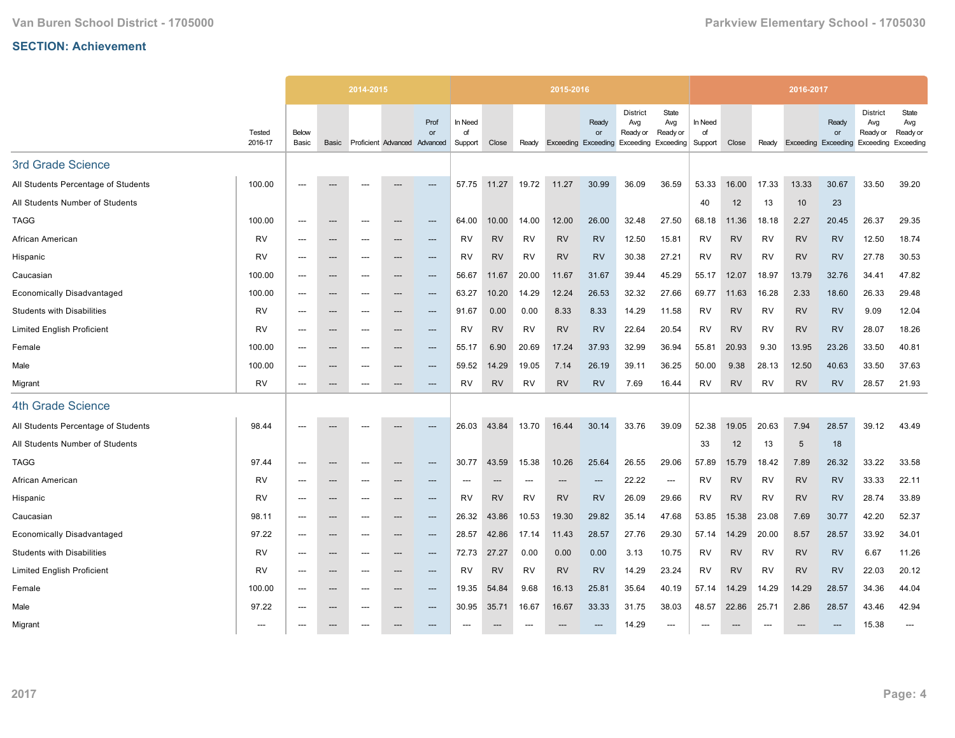|                                     |                   |                          |                          | 2014-2015                |                              |                        |                          |                          |           | 2015-2016 |                                           |                                                           |                          |                          |           |           | 2016-2017                  |             |                                          |                                       |
|-------------------------------------|-------------------|--------------------------|--------------------------|--------------------------|------------------------------|------------------------|--------------------------|--------------------------|-----------|-----------|-------------------------------------------|-----------------------------------------------------------|--------------------------|--------------------------|-----------|-----------|----------------------------|-------------|------------------------------------------|---------------------------------------|
|                                     | Tested<br>2016-17 | Below<br>Basic           | Basic                    |                          | Proficient Advanced Advanced | Prof<br>or             | In Need<br>of<br>Support | Close                    | Ready     |           | Ready<br>or<br><b>Exceeding Exceeding</b> | <b>District</b><br>Avg<br>Ready or<br>Exceeding Exceeding | State<br>Avg<br>Ready or | In Need<br>of<br>Support | Close     | Ready     | <b>Exceeding Exceeding</b> | Ready<br>or | District<br>Avg<br>Ready or<br>Exceeding | State<br>Avg<br>Ready or<br>Exceeding |
| 3rd Grade Science                   |                   |                          |                          |                          |                              |                        |                          |                          |           |           |                                           |                                                           |                          |                          |           |           |                            |             |                                          |                                       |
| All Students Percentage of Students | 100.00            | $---$                    |                          | $---$                    |                              | $---$                  | 57.75                    | 11.27                    | 19.72     | 11.27     | 30.99                                     | 36.09                                                     | 36.59                    | 53.33                    | 16.00     | 17.33     | 13.33                      | 30.67       | 33.50                                    | 39.20                                 |
| All Students Number of Students     |                   |                          |                          |                          |                              |                        |                          |                          |           |           |                                           |                                                           |                          | 40                       | 12        | 13        | 10                         | 23          |                                          |                                       |
| <b>TAGG</b>                         | 100.00            | $---$                    | $\hspace{0.05cm} \ldots$ | $---$                    | $---$                        | ---                    | 64.00                    | 10.00                    | 14.00     | 12.00     | 26.00                                     | 32.48                                                     | 27.50                    | 68.18                    | 11.36     | 18.18     | 2.27                       | 20.45       | 26.37                                    | 29.35                                 |
| African American                    | <b>RV</b>         | $---$                    | $\hspace{0.05cm} \ldots$ | $---$                    |                              | ---                    | RV                       | <b>RV</b>                | RV        | <b>RV</b> | <b>RV</b>                                 | 12.50                                                     | 15.81                    | RV                       | <b>RV</b> | RV        | <b>RV</b>                  | <b>RV</b>   | 12.50                                    | 18.74                                 |
| Hispanic                            | <b>RV</b>         | ---                      | ---                      | ---                      | ---                          | ---                    | RV                       | <b>RV</b>                | <b>RV</b> | <b>RV</b> | <b>RV</b>                                 | 30.38                                                     | 27.21                    | RV                       | <b>RV</b> | RV        | <b>RV</b>                  | <b>RV</b>   | 27.78                                    | 30.53                                 |
| Caucasian                           | 100.00            | $---$                    | $---$                    | $---$                    | $---$                        | $---$                  | 56.67                    | 11.67                    | 20.00     | 11.67     | 31.67                                     | 39.44                                                     | 45.29                    | 55.17                    | 12.07     | 18.97     | 13.79                      | 32.76       | 34.41                                    | 47.82                                 |
| <b>Economically Disadvantaged</b>   | 100.00            | $\overline{\phantom{a}}$ | $\hspace{0.05cm} \cdots$ | $---$                    | ---                          | $\qquad \qquad \cdots$ | 63.27                    | 10.20                    | 14.29     | 12.24     | 26.53                                     | 32.32                                                     | 27.66                    | 69.77                    | 11.63     | 16.28     | 2.33                       | 18.60       | 26.33                                    | 29.48                                 |
| <b>Students with Disabilities</b>   | <b>RV</b>         | $---$                    | $\hspace{0.05cm} \cdots$ | $---$                    | ---                          | ---                    | 91.67                    | 0.00                     | 0.00      | 8.33      | 8.33                                      | 14.29                                                     | 11.58                    | RV                       | <b>RV</b> | <b>RV</b> | <b>RV</b>                  | <b>RV</b>   | 9.09                                     | 12.04                                 |
| <b>Limited English Proficient</b>   | <b>RV</b>         | $---$                    | $---$                    | $---$                    | ---                          | $---$                  | RV                       | <b>RV</b>                | <b>RV</b> | <b>RV</b> | <b>RV</b>                                 | 22.64                                                     | 20.54                    | <b>RV</b>                | <b>RV</b> | RV        | <b>RV</b>                  | <b>RV</b>   | 28.07                                    | 18.26                                 |
| Female                              | 100.00            | ---                      | ---                      | ---                      | ---                          | ---                    | 55.17                    | 6.90                     | 20.69     | 17.24     | 37.93                                     | 32.99                                                     | 36.94                    | 55.81                    | 20.93     | 9.30      | 13.95                      | 23.26       | 33.50                                    | 40.81                                 |
| Male                                | 100.00            | $---$                    | $\hspace{0.05cm} \ldots$ | $---$                    | ---                          | $---$                  | 59.52                    | 14.29                    | 19.05     | 7.14      | 26.19                                     | 39.11                                                     | 36.25                    | 50.00                    | 9.38      | 28.13     | 12.50                      | 40.63       | 33.50                                    | 37.63                                 |
| Migrant                             | <b>RV</b>         | $\overline{\phantom{a}}$ | $\hspace{0.05cm} \ldots$ | $\overline{\phantom{a}}$ | ---                          | $---$                  | RV                       | <b>RV</b>                | <b>RV</b> | <b>RV</b> | <b>RV</b>                                 | 7.69                                                      | 16.44                    | <b>RV</b>                | <b>RV</b> | <b>RV</b> | <b>RV</b>                  | <b>RV</b>   | 28.57                                    | 21.93                                 |
| <b>4th Grade Science</b>            |                   |                          |                          |                          |                              |                        |                          |                          |           |           |                                           |                                                           |                          |                          |           |           |                            |             |                                          |                                       |
| All Students Percentage of Students | 98.44             |                          |                          |                          |                              | ---                    | 26.03                    | 43.84                    | 13.70     | 16.44     | 30.14                                     | 33.76                                                     | 39.09                    | 52.38                    | 19.05     | 20.63     | 7.94                       | 28.57       | 39.12                                    | 43.49                                 |
| All Students Number of Students     |                   |                          |                          |                          |                              |                        |                          |                          |           |           |                                           |                                                           |                          | 33                       | 12        | 13        | $\sqrt{5}$                 | 18          |                                          |                                       |
| <b>TAGG</b>                         | 97.44             | $\overline{\phantom{a}}$ | $\hspace{0.05cm} \ldots$ | $\overline{\phantom{a}}$ | ---                          | ---                    | 30.77                    | 43.59                    | 15.38     | 10.26     | 25.64                                     | 26.55                                                     | 29.06                    | 57.89                    | 15.79     | 18.42     | 7.89                       | 26.32       | 33.22                                    | 33.58                                 |
| African American                    | <b>RV</b>         | $---$                    | $\hspace{0.05cm} \cdots$ | $---$                    |                              | ---                    | $---$                    | $\overline{\phantom{a}}$ | $---$     | ---       | ---                                       | 22.22                                                     | ---                      | <b>RV</b>                | <b>RV</b> | <b>RV</b> | <b>RV</b>                  | <b>RV</b>   | 33.33                                    | 22.11                                 |
| Hispanic                            | <b>RV</b>         | $---$                    | $---$                    | $---$                    | ---                          | $---$                  | RV                       | <b>RV</b>                | RV        | <b>RV</b> | <b>RV</b>                                 | 26.09                                                     | 29.66                    | RV                       | <b>RV</b> | RV        | <b>RV</b>                  | <b>RV</b>   | 28.74                                    | 33.89                                 |
| Caucasian                           | 98.11             | $\overline{\phantom{a}}$ | $\hspace{0.05cm} \cdots$ | $\overline{\phantom{a}}$ | ---                          | ---                    | 26.32                    | 43.86                    | 10.53     | 19.30     | 29.82                                     | 35.14                                                     | 47.68                    | 53.85                    | 15.38     | 23.08     | 7.69                       | 30.77       | 42.20                                    | 52.37                                 |
| <b>Economically Disadvantaged</b>   | 97.22             | $---$                    | $---$                    | $---$                    | $---$                        | $---$                  | 28.57                    | 42.86                    | 17.14     | 11.43     | 28.57                                     | 27.76                                                     | 29.30                    | 57.14                    | 14.29     | 20.00     | 8.57                       | 28.57       | 33.92                                    | 34.01                                 |
| <b>Students with Disabilities</b>   | <b>RV</b>         | $\overline{\phantom{a}}$ | $\hspace{0.05cm} \ldots$ | $\overline{\phantom{a}}$ | ---                          | $\qquad \qquad \cdots$ | 72.73                    | 27.27                    | 0.00      | 0.00      | 0.00                                      | 3.13                                                      | 10.75                    | <b>RV</b>                | <b>RV</b> | <b>RV</b> | <b>RV</b>                  | <b>RV</b>   | 6.67                                     | 11.26                                 |
| <b>Limited English Proficient</b>   | <b>RV</b>         |                          | $\hspace{0.05cm} \cdots$ | ---                      | ---                          | ---                    | RV                       | <b>RV</b>                | RV        | <b>RV</b> | <b>RV</b>                                 | 14.29                                                     | 23.24                    | RV                       | <b>RV</b> | RV        | <b>RV</b>                  | <b>RV</b>   | 22.03                                    | 20.12                                 |
| Female                              | 100.00            | $---$                    | $---$                    | $---$                    | ---                          | $---$                  | 19.35                    | 54.84                    | 9.68      | 16.13     | 25.81                                     | 35.64                                                     | 40.19                    | 57.14                    | 14.29     | 14.29     | 14.29                      | 28.57       | 34.36                                    | 44.04                                 |
| Male                                | 97.22             | $\overline{\phantom{a}}$ | $\hspace{0.05cm} \ldots$ | $---$                    | ---                          | ---                    | 30.95                    | 35.71                    | 16.67     | 16.67     | 33.33                                     | 31.75                                                     | 38.03                    | 48.57                    | 22.86     | 25.71     | 2.86                       | 28.57       | 43.46                                    | 42.94                                 |
| Migrant                             | ---               |                          | ---                      |                          |                              |                        |                          |                          |           |           |                                           | 14.29                                                     | ---                      |                          |           |           |                            |             | 15.38                                    | $\overline{a}$                        |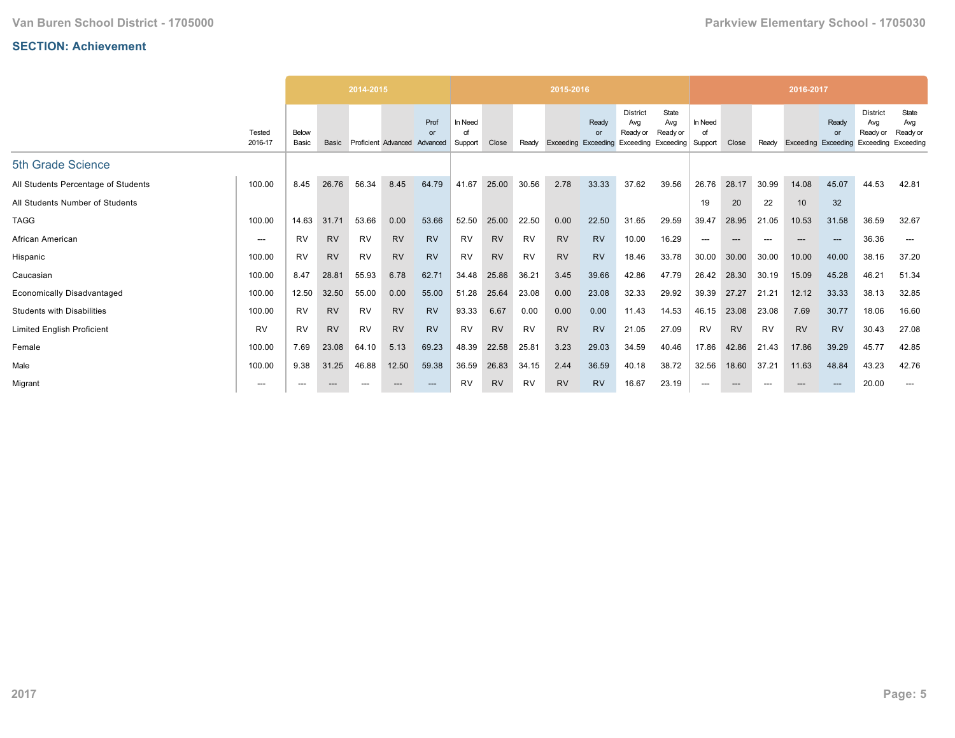|                                     |                   |                |           | 2014-2015 |                     |                        |                    |           |           | 2015-2016           |                                |                                                           |                          |                          |           |       | 2016-2017           |             |                                                 |                                       |
|-------------------------------------|-------------------|----------------|-----------|-----------|---------------------|------------------------|--------------------|-----------|-----------|---------------------|--------------------------------|-----------------------------------------------------------|--------------------------|--------------------------|-----------|-------|---------------------|-------------|-------------------------------------------------|---------------------------------------|
|                                     | Tested<br>2016-17 | Below<br>Basic | Basic     |           | Proficient Advanced | Prof<br>or<br>Advanced | In Need<br>Support | Close     | Ready     | Exceeding Exceeding | Ready<br>$\alpha$ <sup>r</sup> | <b>District</b><br>Avg<br>Ready or<br>Exceeding Exceeding | State<br>Avg<br>Ready or | In Need<br>of<br>Support | Close     | Ready | Exceeding Exceeding | Ready<br>or | <b>District</b><br>Avg<br>Ready or<br>Exceeding | State<br>Avg<br>Ready or<br>Exceeding |
| 5th Grade Science                   |                   |                |           |           |                     |                        |                    |           |           |                     |                                |                                                           |                          |                          |           |       |                     |             |                                                 |                                       |
| All Students Percentage of Students | 100.00            | 8.45           | 26.76     | 56.34     | 8.45                | 64.79                  | 41.67              | 25.00     | 30.56     | 2.78                | 33.33                          | 37.62                                                     | 39.56                    | 26.76                    | 28.17     | 30.99 | 14.08               | 45.07       | 44.53                                           | 42.81                                 |
| All Students Number of Students     |                   |                |           |           |                     |                        |                    |           |           |                     |                                |                                                           |                          | 19                       | 20        | 22    | 10                  | 32          |                                                 |                                       |
| <b>TAGG</b>                         | 100.00            | 14.63          | 31.71     | 53.66     | 0.00                | 53.66                  | 52.50              | 25.00     | 22.50     | 0.00                | 22.50                          | 31.65                                                     | 29.59                    | 39.47                    | 28.95     | 21.05 | 10.53               | 31.58       | 36.59                                           | 32.67                                 |
| African American                    | $---$             | <b>RV</b>      | <b>RV</b> | <b>RV</b> | <b>RV</b>           | <b>RV</b>              | <b>RV</b>          | <b>RV</b> | <b>RV</b> | <b>RV</b>           | <b>RV</b>                      | 10.00                                                     | 16.29                    | ---                      | ---       | $---$ | $---$               | ---         | 36.36                                           | $---$                                 |
| Hispanic                            | 100.00            | RV             | <b>RV</b> | RV        | <b>RV</b>           | <b>RV</b>              | RV                 | <b>RV</b> | RV        | <b>RV</b>           | <b>RV</b>                      | 18.46                                                     | 33.78                    | 30.00                    | 30.00     | 30.00 | 10.00               | 40.00       | 38.16                                           | 37.20                                 |
| Caucasian                           | 100.00            | 8.47           | 28.81     | 55.93     | 6.78                | 62.71                  | 34.48              | 25.86     | 36.21     | 3.45                | 39.66                          | 42.86                                                     | 47.79                    | 26.42                    | 28.30     | 30.19 | 15.09               | 45.28       | 46.21                                           | 51.34                                 |
| <b>Economically Disadvantaged</b>   | 100.00            | 12.50          | 32.50     | 55.00     | 0.00                | 55.00                  | 51.28              | 25.64     | 23.08     | 0.00                | 23.08                          | 32.33                                                     | 29.92                    | 39.39                    | 27.27     | 21.21 | 12.12               | 33.33       | 38.13                                           | 32.85                                 |
| <b>Students with Disabilities</b>   | 100.00            | <b>RV</b>      | <b>RV</b> | <b>RV</b> | <b>RV</b>           | <b>RV</b>              | 93.33              | 6.67      | 0.00      | 0.00                | 0.00                           | 11.43                                                     | 14.53                    | 46.15                    | 23.08     | 23.08 | 7.69                | 30.77       | 18.06                                           | 16.60                                 |
| <b>Limited English Proficient</b>   | <b>RV</b>         | <b>RV</b>      | <b>RV</b> | RV        | <b>RV</b>           | <b>RV</b>              | <b>RV</b>          | <b>RV</b> | <b>RV</b> | <b>RV</b>           | <b>RV</b>                      | 21.05                                                     | 27.09                    | <b>RV</b>                | <b>RV</b> | RV    | <b>RV</b>           | <b>RV</b>   | 30.43                                           | 27.08                                 |
| Female                              | 100.00            | 7.69           | 23.08     | 64.10     | 5.13                | 69.23                  | 48.39              | 22.58     | 25.81     | 3.23                | 29.03                          | 34.59                                                     | 40.46                    | 17.86                    | 42.86     | 21.43 | 17.86               | 39.29       | 45.77                                           | 42.85                                 |
| Male                                | 100.00            | 9.38           | 31.25     | 46.88     | 12.50               | 59.38                  | 36.59              | 26.83     | 34.15     | 2.44                | 36.59                          | 40.18                                                     | 38.72                    | 32.56                    | 18.60     | 37.21 | 11.63               | 48.84       | 43.23                                           | 42.76                                 |
| Migrant                             | $---$             | ---            |           |           | ---                 | $---$                  | RV                 | <b>RV</b> | <b>RV</b> | <b>RV</b>           | <b>RV</b>                      | 16.67                                                     | 23.19                    | $---$                    | ---       | $---$ | $- - -$             | ---         | 20.00                                           | $---$                                 |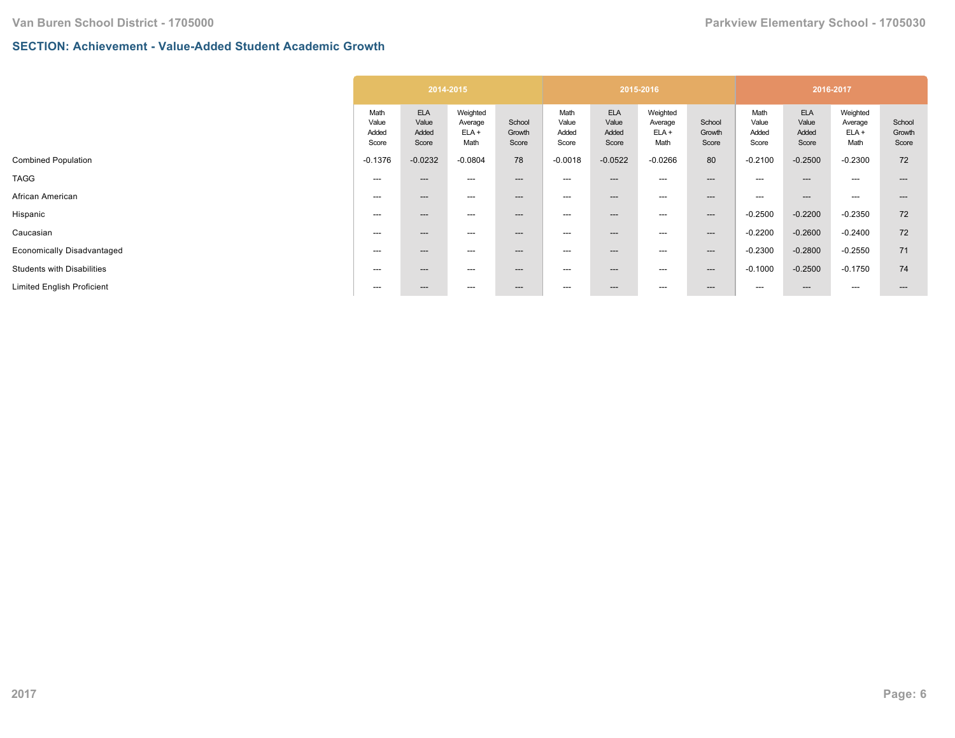## **SECTION: Achievement - Value-Added Student Academic Growth**

|                                   |                                 | 2014-2015                             |                                        |                           |                                 |                                       | 2015-2016                              |                           |                                 |                                       | 2016-2017                              |                           |
|-----------------------------------|---------------------------------|---------------------------------------|----------------------------------------|---------------------------|---------------------------------|---------------------------------------|----------------------------------------|---------------------------|---------------------------------|---------------------------------------|----------------------------------------|---------------------------|
|                                   | Math<br>Value<br>Added<br>Score | <b>ELA</b><br>Value<br>Added<br>Score | Weighted<br>Average<br>$ELA +$<br>Math | School<br>Growth<br>Score | Math<br>Value<br>Added<br>Score | <b>ELA</b><br>Value<br>Added<br>Score | Weighted<br>Average<br>$ELA +$<br>Math | School<br>Growth<br>Score | Math<br>Value<br>Added<br>Score | <b>ELA</b><br>Value<br>Added<br>Score | Weighted<br>Average<br>$ELA +$<br>Math | School<br>Growth<br>Score |
| <b>Combined Population</b>        | $-0.1376$                       | $-0.0232$                             | $-0.0804$                              | 78                        | $-0.0018$                       | $-0.0522$                             | $-0.0266$                              | 80                        | $-0.2100$                       | $-0.2500$                             | $-0.2300$                              | 72                        |
|                                   | ---                             | $---$                                 | ---                                    | $---$                     | ---                             | ---                                   | ---                                    | $---$                     | $---$                           | $---$                                 | $---$                                  | ---                       |
| African American                  | ---                             | $---$                                 | ---                                    | $---$                     | ---                             | ---                                   | ---                                    | $--$                      | ---                             | $---$                                 | $---$                                  | $---$                     |
|                                   | ---                             | $---$                                 | ---                                    | $---$                     | ---                             | ---                                   | ---                                    | $--$                      | $-0.2500$                       | $-0.2200$                             | $-0.2350$                              | 72                        |
|                                   | $---$                           | $---$                                 | ---                                    | $---$                     | ---                             | ---                                   | ---                                    | $--$                      | $-0.2200$                       | $-0.2600$                             | $-0.2400$                              | 72                        |
| Economically Disadvantaged        | $---$                           | $---$                                 | ---                                    | $---$                     | ---                             | ---                                   | ---                                    | $--$                      | $-0.2300$                       | $-0.2800$                             | $-0.2550$                              | 71                        |
| <b>Students with Disabilities</b> | ---                             | $---$                                 | ---                                    | $---$                     | ---                             | ---                                   | ---                                    | $---$                     | $-0.1000$                       | $-0.2500$                             | $-0.1750$                              | 74                        |
| <b>Limited English Proficient</b> | ---                             | $---$                                 | ---                                    | $---$                     | ---                             | ---                                   | ---                                    | $---$                     | ---                             | $---$                                 | $---$                                  | $---$                     |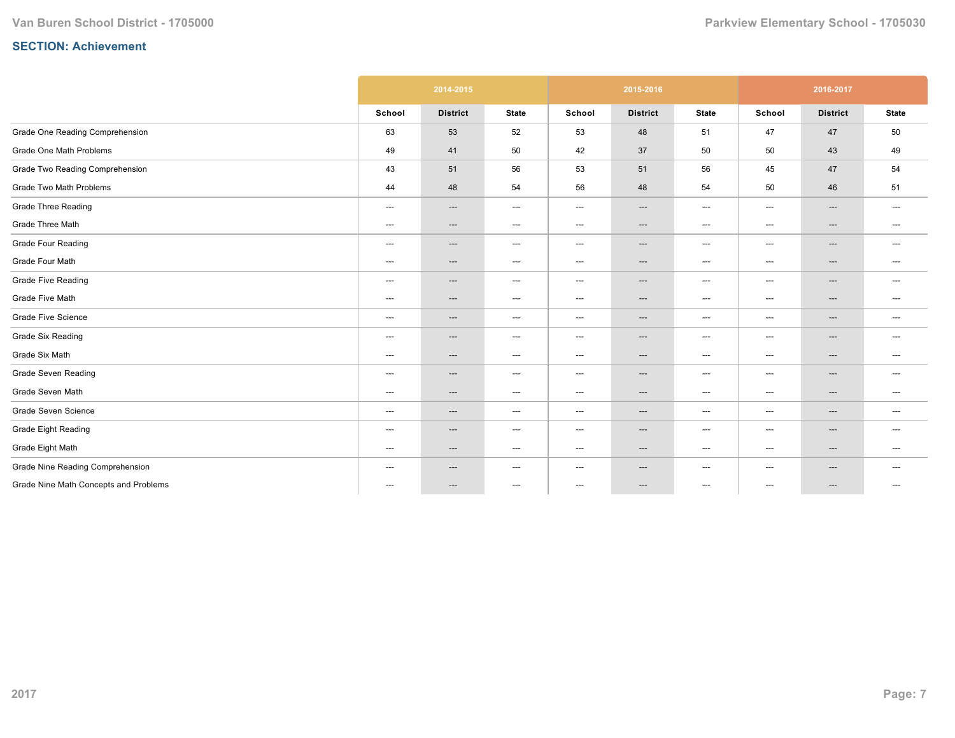|                                       |                                   | 2014-2015       |                                   |                          | 2015-2016                         |                                   |                                          | 2016-2017                |                                   |
|---------------------------------------|-----------------------------------|-----------------|-----------------------------------|--------------------------|-----------------------------------|-----------------------------------|------------------------------------------|--------------------------|-----------------------------------|
|                                       | School                            | <b>District</b> | <b>State</b>                      | School                   | <b>District</b>                   | <b>State</b>                      | School                                   | <b>District</b>          | <b>State</b>                      |
| Grade One Reading Comprehension       | 63                                | 53              | 52                                | 53                       | 48                                | 51                                | 47                                       | 47                       | 50                                |
| Grade One Math Problems               | 49                                | 41              | 50                                | 42                       | 37                                | 50                                | 50                                       | 43                       | 49                                |
| Grade Two Reading Comprehension       | 43                                | 51              | 56                                | 53                       | 51                                | 56                                | 45                                       | 47                       | 54                                |
| Grade Two Math Problems               | 44                                | 48              | 54                                | 56                       | 48                                | 54                                | 50                                       | 46                       | 51                                |
| <b>Grade Three Reading</b>            | $\hspace{0.05cm} \ldots$          | $---$           | $\hspace{0.05cm} \ldots$          | $\hspace{0.05cm} \ldots$ | $\qquad \qquad \cdots$            | $\hspace{0.05cm} \ldots$          | $\hspace{0.05cm} \ldots \hspace{0.05cm}$ | $\qquad \qquad \cdots$   | $\hspace{0.05cm} \ldots$          |
| Grade Three Math                      | $---$                             | ---             | $\hspace{0.05cm} \dashrightarrow$ | ---                      | $\hspace{0.05cm} \dashrightarrow$ | $\hspace{0.05cm} \dashrightarrow$ | ---                                      | $\qquad \qquad \cdots$   | $---$                             |
| <b>Grade Four Reading</b>             | ---                               | ---             | $\hspace{0.05cm} \dashrightarrow$ | $---$                    | ---                               | $\hspace{0.05cm} \ldots$          | ---                                      | ---                      | $---$                             |
| Grade Four Math                       | $\hspace{0.05cm} \ldots$          | ---             | $\hspace{0.05cm} \dashrightarrow$ | ---                      | ---                               | $\hspace{0.05cm} \dashrightarrow$ | ---                                      | ---                      | $\hspace{0.05cm} \dashrightarrow$ |
| <b>Grade Five Reading</b>             | $---$                             | $---$           | $\hspace{0.05cm} \dashrightarrow$ | ---                      | $\hspace{0.05cm} \ldots$          | $---$                             | ---                                      | $\hspace{0.05cm} \ldots$ | $---$                             |
| Grade Five Math                       | $\hspace{0.05cm} \dashrightarrow$ | ---             | $\hspace{0.05cm} \ldots$          | ---                      | ---                               | $---$                             | $\hspace{0.05cm} \ldots$                 | ---                      | $---$                             |
| <b>Grade Five Science</b>             | $\hspace{0.05cm} \ldots$          | ---             | $\hspace{0.05cm} \ldots$          | ---                      | ---                               | $---$                             | ---                                      | $\hspace{0.05cm} \ldots$ | $\hspace{0.05cm} \ldots$          |
| <b>Grade Six Reading</b>              | $\hspace{0.05cm} \ldots$          | ---             | $\hspace{0.05cm} \ldots$          | ---                      | $---$                             | $---$                             | ---                                      | $\qquad \qquad \cdots$   | $---$                             |
| Grade Six Math                        | $\hspace{0.05cm} \dashrightarrow$ | ---             | $\hspace{0.05cm} \dashrightarrow$ | ---                      | ---                               | $---$                             | ---                                      | ---                      | $\hspace{0.05cm} \dashrightarrow$ |
| <b>Grade Seven Reading</b>            | $\qquad \qquad \cdots$            | ---             | $\hspace{0.05cm} \ldots$          | ---                      | ---                               | $---$                             | ---                                      | $\hspace{0.05cm} \ldots$ | $---$                             |
| Grade Seven Math                      | ---                               | $---$           | $\hspace{0.05cm} \dashrightarrow$ | ---                      | $\qquad \qquad \cdots$            | $\hspace{0.05cm} \dashrightarrow$ | ---                                      | $\qquad \qquad \cdots$   | $\hspace{0.05cm} \ldots$          |
| Grade Seven Science                   | $\hspace{0.05cm} \ldots$          | ---             | $\hspace{0.05cm} \ldots$          | ---                      | ---                               | $---$                             | ---                                      | $\hspace{0.05cm} \ldots$ | $\hspace{0.05cm} \ldots$          |
| <b>Grade Eight Reading</b>            | $\hspace{0.05cm} \ldots$          | ---             | $\hspace{0.05cm} \ldots$          | $---$                    | ---                               | $---$                             | $\hspace{0.05cm} \ldots$                 | ---                      | $---$                             |
| Grade Eight Math                      | $---$                             | $---$           | $\hspace{0.05cm} \ldots$          | ---                      | $\hspace{0.05cm} \ldots$          | $---$                             | ---                                      | $---$                    | $---$                             |
| Grade Nine Reading Comprehension      | $\hspace{0.05cm} \ldots$          | ---             | $---$                             | ---                      | $\hspace{0.05cm} \ldots$          | $---$                             | ---                                      | $\hspace{0.05cm} \ldots$ | $---$                             |
| Grade Nine Math Concepts and Problems | ---                               | ---             | $\hspace{0.05cm} \ldots$          | $\hspace{0.05cm} \ldots$ | ---                               | $\hspace{0.05cm} \ldots$          | ---                                      | ---                      | $---$                             |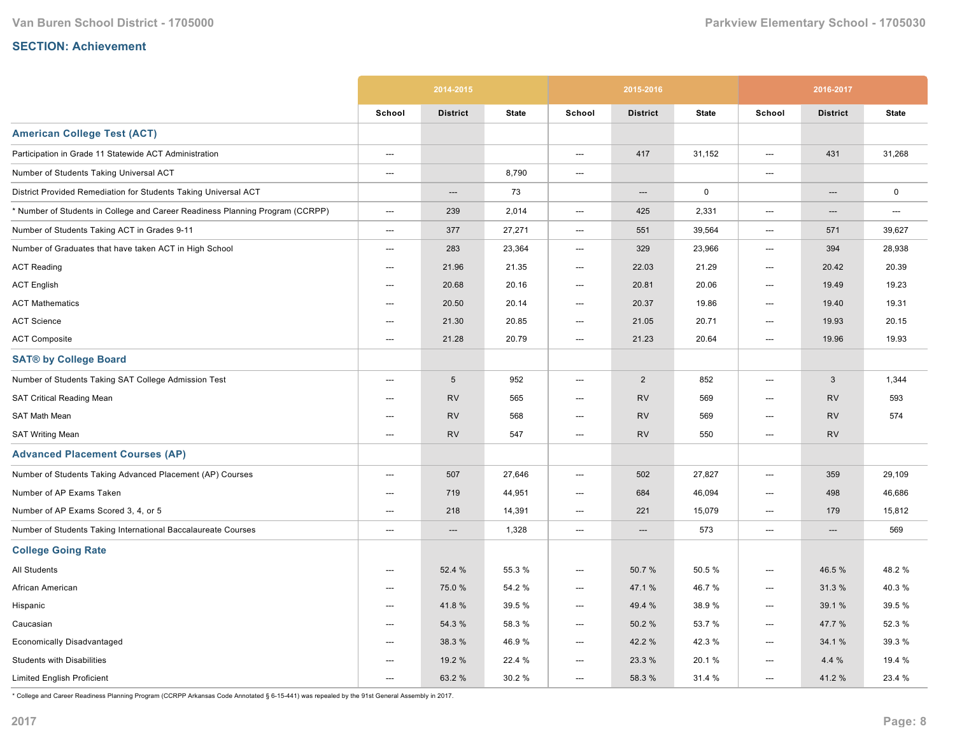|                                                                               |                          | 2014-2015       |              |                          | 2015-2016       |              |                          | 2016-2017       |              |
|-------------------------------------------------------------------------------|--------------------------|-----------------|--------------|--------------------------|-----------------|--------------|--------------------------|-----------------|--------------|
|                                                                               | School                   | <b>District</b> | <b>State</b> | School                   | <b>District</b> | <b>State</b> | School                   | <b>District</b> | <b>State</b> |
| <b>American College Test (ACT)</b>                                            |                          |                 |              |                          |                 |              |                          |                 |              |
| Participation in Grade 11 Statewide ACT Administration                        | ---                      |                 |              | ---                      | 417             | 31,152       | ---                      | 431             | 31,268       |
| Number of Students Taking Universal ACT                                       | ---                      |                 | 8,790        | ---                      |                 |              | ---                      |                 |              |
| District Provided Remediation for Students Taking Universal ACT               |                          | ---             | 73           |                          | ---             | $\mathbf 0$  |                          | ---             | $\mathbf 0$  |
| * Number of Students in College and Career Readiness Planning Program (CCRPP) | ---                      | 239             | 2,014        | ---                      | 425             | 2,331        | ---                      | ---             | ---          |
| Number of Students Taking ACT in Grades 9-11                                  | $---$                    | 377             | 27,271       | $\hspace{0.05cm} \ldots$ | 551             | 39,564       | ---                      | 571             | 39,627       |
| Number of Graduates that have taken ACT in High School                        | ---                      | 283             | 23,364       | ---                      | 329             | 23,966       | ---                      | 394             | 28,938       |
| <b>ACT Reading</b>                                                            | $---$                    | 21.96           | 21.35        | $---$                    | 22.03           | 21.29        | ---                      | 20.42           | 20.39        |
| <b>ACT English</b>                                                            | $---$                    | 20.68           | 20.16        | $---$                    | 20.81           | 20.06        | $---$                    | 19.49           | 19.23        |
| <b>ACT Mathematics</b>                                                        | ---                      | 20.50           | 20.14        | ---                      | 20.37           | 19.86        | $\hspace{0.05cm} \ldots$ | 19.40           | 19.31        |
| <b>ACT Science</b>                                                            | ---                      | 21.30           | 20.85        | ---                      | 21.05           | 20.71        | ---                      | 19.93           | 20.15        |
| <b>ACT Composite</b>                                                          | ---                      | 21.28           | 20.79        | ---                      | 21.23           | 20.64        | ---                      | 19.96           | 19.93        |
| <b>SAT® by College Board</b>                                                  |                          |                 |              |                          |                 |              |                          |                 |              |
| Number of Students Taking SAT College Admission Test                          | ---                      | $\sqrt{5}$      | 952          | ---                      | $\overline{2}$  | 852          | ---                      | 3               | 1,344        |
| <b>SAT Critical Reading Mean</b>                                              | ---                      | <b>RV</b>       | 565          | ---                      | <b>RV</b>       | 569          | ---                      | <b>RV</b>       | 593          |
| SAT Math Mean                                                                 | ---                      | <b>RV</b>       | 568          | ---                      | <b>RV</b>       | 569          | ---                      | <b>RV</b>       | 574          |
| <b>SAT Writing Mean</b>                                                       | $---$                    | <b>RV</b>       | 547          | ---                      | <b>RV</b>       | 550          | $\hspace{0.05cm} \ldots$ | <b>RV</b>       |              |
| <b>Advanced Placement Courses (AP)</b>                                        |                          |                 |              |                          |                 |              |                          |                 |              |
| Number of Students Taking Advanced Placement (AP) Courses                     | $---$                    | 507             | 27,646       | ---                      | 502             | 27,827       | ---                      | 359             | 29,109       |
| Number of AP Exams Taken                                                      | ---                      | 719             | 44,951       | ---                      | 684             | 46,094       | ---                      | 498             | 46,686       |
| Number of AP Exams Scored 3, 4, or 5                                          | ---                      | 218             | 14,391       | ---                      | 221             | 15,079       | ---                      | 179             | 15,812       |
| Number of Students Taking International Baccalaureate Courses                 | ---                      | $---$           | 1,328        | ---                      | ---             | 573          | ---                      | ---             | 569          |
| <b>College Going Rate</b>                                                     |                          |                 |              |                          |                 |              |                          |                 |              |
| All Students                                                                  | ---                      | 52.4 %          | 55.3 %       | ---                      | 50.7%           | 50.5 %       | ---                      | 46.5 %          | 48.2%        |
| African American                                                              | ---                      | 75.0 %          | 54.2 %       | ---                      | 47.1 %          | 46.7%        | ---                      | 31.3%           | 40.3%        |
| Hispanic                                                                      | $---$                    | 41.8%           | 39.5 %       | $---$                    | 49.4 %          | 38.9%        | $---$                    | 39.1 %          | 39.5 %       |
| Caucasian                                                                     | $\hspace{0.05cm} \ldots$ | 54.3 %          | 58.3%        | $\hspace{0.05cm} \ldots$ | 50.2%           | 53.7 %       | $\hspace{0.05cm} \ldots$ | 47.7 %          | 52.3 %       |
| Economically Disadvantaged                                                    | $---$                    | 38.3 %          | 46.9%        | ---                      | 42.2 %          | 42.3%        | ---                      | 34.1 %          | 39.3 %       |
| <b>Students with Disabilities</b>                                             | ---                      | 19.2 %          | 22.4 %       | ---                      | 23.3 %          | 20.1%        | ---                      | 4.4%            | 19.4 %       |
| <b>Limited English Proficient</b>                                             | ---                      | 63.2 %          | 30.2 %       | ---                      | 58.3 %          | 31.4 %       | ---                      | 41.2%           | 23.4 %       |

\* College and Career Readiness Planning Program (CCRPP Arkansas Code Annotated § 615441) was repealed by the 91st General Assembly in 2017.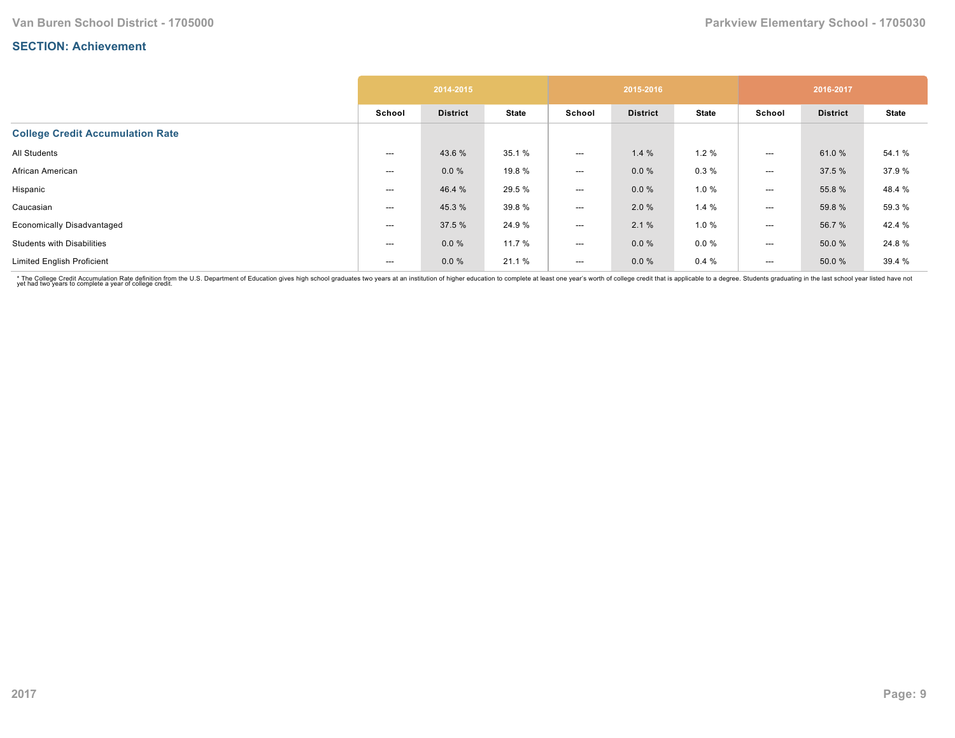|                                         |        | 2014-2015       |              |                          | 2015-2016       |              |                          | 2016-2017       |              |
|-----------------------------------------|--------|-----------------|--------------|--------------------------|-----------------|--------------|--------------------------|-----------------|--------------|
|                                         | School | <b>District</b> | <b>State</b> | School                   | <b>District</b> | <b>State</b> | School                   | <b>District</b> | <b>State</b> |
| <b>College Credit Accumulation Rate</b> |        |                 |              |                          |                 |              |                          |                 |              |
| All Students                            | ---    | 43.6 %          | 35.1 %       | $---$                    | 1.4%            | 1.2%         | $---$                    | 61.0%           | 54.1 %       |
| African American                        | ---    | $0.0 \%$        | 19.8 %       | $---$                    | $0.0 \%$        | 0.3%         | $\hspace{0.05cm} \ldots$ | 37.5 %          | 37.9%        |
| Hispanic                                | ---    | 46.4 %          | 29.5 %       | $\hspace{0.05cm} \ldots$ | $0.0 \%$        | 1.0%         | $\hspace{0.05cm} \ldots$ | 55.8%           | 48.4 %       |
| Caucasian                               | ---    | 45.3 %          | 39.8%        | $\hspace{0.05cm} \ldots$ | 2.0%            | 1.4%         | $\hspace{0.05cm} \ldots$ | 59.8 %          | 59.3 %       |
| <b>Economically Disadvantaged</b>       | ---    | 37.5 %          | 24.9%        | $---$                    | 2.1%            | 1.0 %        | $---$                    | 56.7 %          | 42.4 %       |
| <b>Students with Disabilities</b>       | ---    | $0.0 \%$        | 11.7 %       | $\hspace{0.05cm} \ldots$ | $0.0 \%$        | $0.0 \%$     | ---                      | 50.0 %          | 24.8%        |
| <b>Limited English Proficient</b>       | ---    | $0.0 \%$        | 21.1 %       | $---$                    | $0.0 \%$        | 0.4%         | $---$                    | 50.0 %          | 39.4 %       |

\* The College Credit Accumulation Rate definition from the U.S. Department of Education gives high school graduates two years at an institution of higher education to complete at least one year's worth of college credit th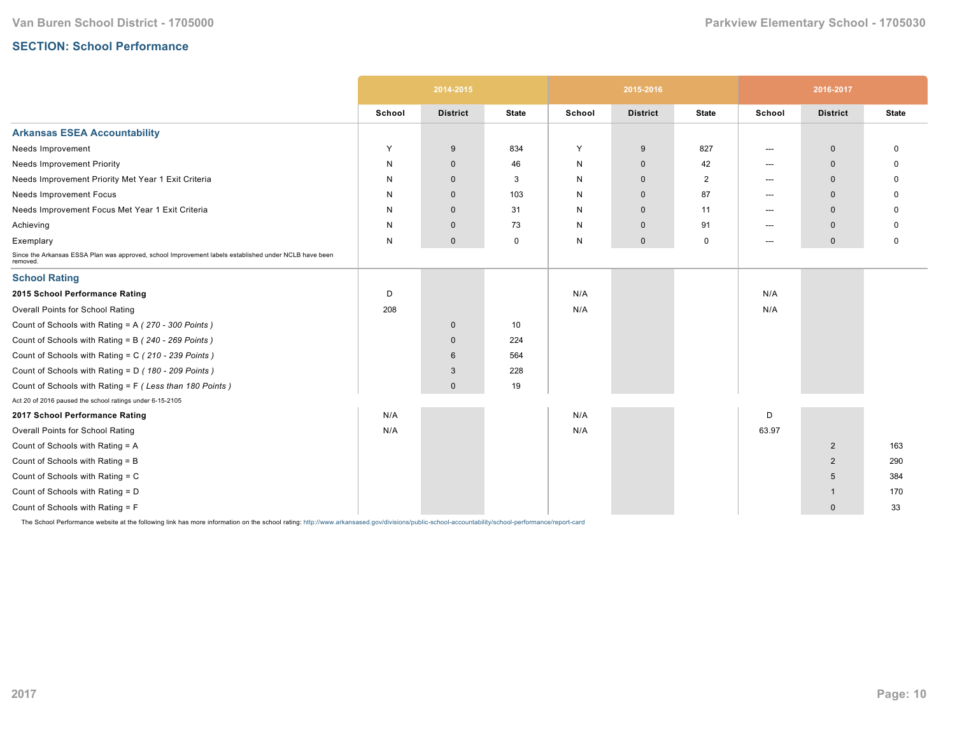## **SECTION: School Performance**

|                                                                                                                   |        | 2014-2015       |              |        | 2015-2016       |                |        | 2016-2017       |              |
|-------------------------------------------------------------------------------------------------------------------|--------|-----------------|--------------|--------|-----------------|----------------|--------|-----------------|--------------|
|                                                                                                                   | School | <b>District</b> | <b>State</b> | School | <b>District</b> | <b>State</b>   | School | <b>District</b> | <b>State</b> |
| <b>Arkansas ESEA Accountability</b>                                                                               |        |                 |              |        |                 |                |        |                 |              |
| Needs Improvement                                                                                                 | Y      | 9               | 834          | Y      | 9               | 827            | ---    | $\mathbf 0$     | 0            |
| <b>Needs Improvement Priority</b>                                                                                 | N      | $\mathbf 0$     | 46           | N      | $\mathbf 0$     | 42             | $---$  | $\Omega$        | O            |
| Needs Improvement Priority Met Year 1 Exit Criteria                                                               | N      | $\Omega$        | 3            | N      | $\mathbf{0}$    | $\overline{2}$ | $---$  | $\Omega$        | <sup>0</sup> |
| Needs Improvement Focus                                                                                           | N      | $\mathbf 0$     | 103          | N      | $\mathbf 0$     | 87             | $---$  | $\Omega$        | O            |
| Needs Improvement Focus Met Year 1 Exit Criteria                                                                  | N      | $\mathbf 0$     | 31           | N      | $\mathbf{0}$    | 11             | $---$  | $\mathbf 0$     |              |
| Achieving                                                                                                         | N      | $\mathbf 0$     | 73           | N      | $\mathbf 0$     | 91             | $---$  | $\mathbf{0}$    | O            |
| Exemplary                                                                                                         | N      | $\mathbf 0$     | 0            | N      | $\mathbf 0$     | $\mathbf 0$    | $---$  | $\mathbf 0$     | 0            |
| Since the Arkansas ESSA Plan was approved, school Improvement labels established under NCLB have been<br>removed. |        |                 |              |        |                 |                |        |                 |              |
| <b>School Rating</b>                                                                                              |        |                 |              |        |                 |                |        |                 |              |
| 2015 School Performance Rating                                                                                    | D      |                 |              | N/A    |                 |                | N/A    |                 |              |
| Overall Points for School Rating                                                                                  | 208    |                 |              | N/A    |                 |                | N/A    |                 |              |
| Count of Schools with Rating = A (270 - 300 Points)                                                               |        | $\mathbf 0$     | 10           |        |                 |                |        |                 |              |
| Count of Schools with Rating = B (240 - 269 Points)                                                               |        | $\mathbf{0}$    | 224          |        |                 |                |        |                 |              |
| Count of Schools with Rating = C (210 - 239 Points)                                                               |        | 6               | 564          |        |                 |                |        |                 |              |
| Count of Schools with Rating = D (180 - 209 Points)                                                               |        | 3               | 228          |        |                 |                |        |                 |              |
| Count of Schools with Rating = F (Less than 180 Points)                                                           |        | $\mathbf{0}$    | 19           |        |                 |                |        |                 |              |
| Act 20 of 2016 paused the school ratings under 6-15-2105                                                          |        |                 |              |        |                 |                |        |                 |              |
| 2017 School Performance Rating                                                                                    | N/A    |                 |              | N/A    |                 |                | D      |                 |              |
| Overall Points for School Rating                                                                                  | N/A    |                 |              | N/A    |                 |                | 63.97  |                 |              |
| Count of Schools with Rating = A                                                                                  |        |                 |              |        |                 |                |        | $\overline{2}$  | 163          |
| Count of Schools with Rating = B                                                                                  |        |                 |              |        |                 |                |        | $\overline{2}$  | 290          |
| Count of Schools with Rating = C                                                                                  |        |                 |              |        |                 |                |        | 5               | 384          |
| Count of Schools with Rating = D                                                                                  |        |                 |              |        |                 |                |        | -1              | 170          |
| Count of Schools with Rating = F                                                                                  |        |                 |              |        |                 |                |        | $\mathbf 0$     | 33           |

The School Performance website at the following link has more information on the school rating: http://www.arkansased.gov/divisions/public-school-accountability/school-performance/report-card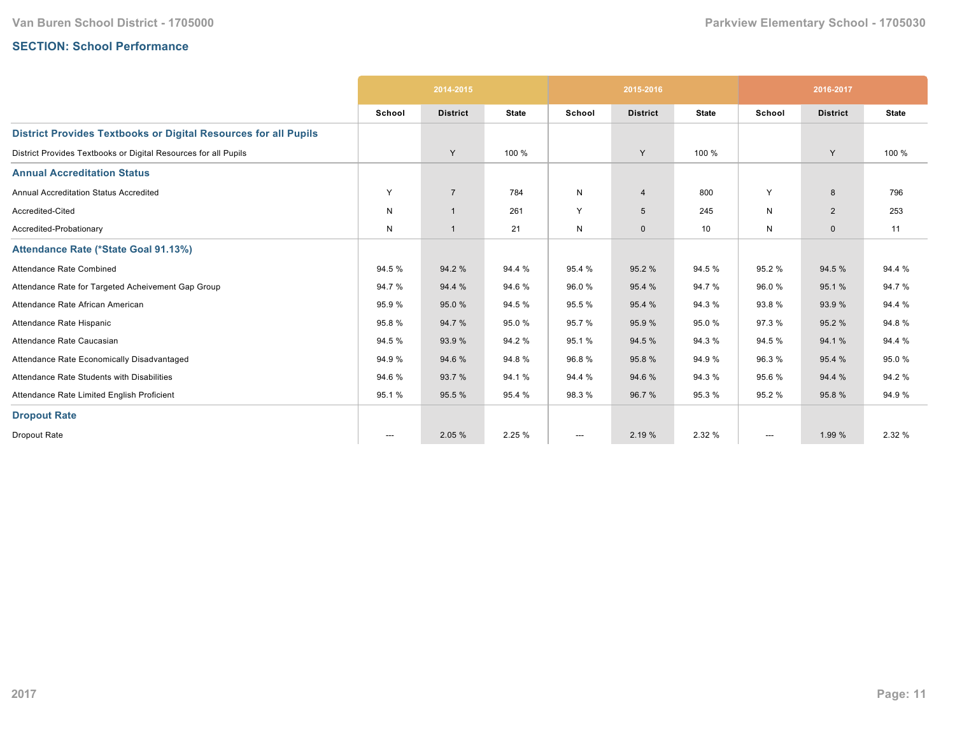## **SECTION: School Performance**

|                                                                        |                          | 2014-2015       |              |              | 2015-2016       |              |                        | 2016-2017       |              |
|------------------------------------------------------------------------|--------------------------|-----------------|--------------|--------------|-----------------|--------------|------------------------|-----------------|--------------|
|                                                                        | School                   | <b>District</b> | <b>State</b> | School       | <b>District</b> | <b>State</b> | School                 | <b>District</b> | <b>State</b> |
| <b>District Provides Textbooks or Digital Resources for all Pupils</b> |                          |                 |              |              |                 |              |                        |                 |              |
| District Provides Textbooks or Digital Resources for all Pupils        |                          | Y               | 100 %        |              | Y               | 100 %        |                        | Y               | 100 %        |
| <b>Annual Accreditation Status</b>                                     |                          |                 |              |              |                 |              |                        |                 |              |
| Annual Accreditation Status Accredited                                 | Y                        | $\overline{7}$  | 784          | $\mathsf{N}$ | $\overline{4}$  | 800          | Y                      | 8               | 796          |
| Accredited-Cited                                                       | N                        | $\overline{1}$  | 261          | Y            | $5\overline{5}$ | 245          | N                      | $\overline{2}$  | 253          |
| Accredited-Probationary                                                | N                        | $\overline{1}$  | 21           | N            | $\mathbf 0$     | 10           | N                      | $\mathbf{0}$    | 11           |
| Attendance Rate (*State Goal 91.13%)                                   |                          |                 |              |              |                 |              |                        |                 |              |
| Attendance Rate Combined                                               | 94.5 %                   | 94.2 %          | 94.4 %       | 95.4 %       | 95.2 %          | 94.5 %       | 95.2%                  | 94.5 %          | 94.4 %       |
| Attendance Rate for Targeted Acheivement Gap Group                     | 94.7%                    | 94.4 %          | 94.6%        | 96.0%        | 95.4 %          | 94.7%        | 96.0%                  | 95.1%           | 94.7%        |
| Attendance Rate African American                                       | 95.9%                    | 95.0%           | 94.5 %       | 95.5 %       | 95.4 %          | 94.3 %       | 93.8%                  | 93.9%           | 94.4 %       |
| Attendance Rate Hispanic                                               | 95.8%                    | 94.7%           | 95.0%        | 95.7 %       | 95.9 %          | 95.0%        | 97.3%                  | 95.2%           | 94.8%        |
| Attendance Rate Caucasian                                              | 94.5 %                   | 93.9 %          | 94.2%        | 95.1 %       | 94.5 %          | 94.3 %       | 94.5 %                 | 94.1 %          | 94.4 %       |
| Attendance Rate Economically Disadvantaged                             | 94.9%                    | 94.6%           | 94.8%        | 96.8%        | 95.8%           | 94.9%        | 96.3%                  | 95.4 %          | 95.0%        |
| Attendance Rate Students with Disabilities                             | 94.6%                    | 93.7 %          | 94.1%        | 94.4 %       | 94.6%           | 94.3 %       | 95.6%                  | 94.4 %          | 94.2 %       |
| Attendance Rate Limited English Proficient                             | 95.1%                    | 95.5 %          | 95.4 %       | 98.3%        | 96.7 %          | 95.3 %       | 95.2%                  | 95.8%           | 94.9%        |
| <b>Dropout Rate</b>                                                    |                          |                 |              |              |                 |              |                        |                 |              |
| Dropout Rate                                                           | $\hspace{0.05cm} \ldots$ | 2.05 %          | 2.25 %       | ---          | 2.19 %          | 2.32 %       | $\qquad \qquad \cdots$ | 1.99 %          | 2.32 %       |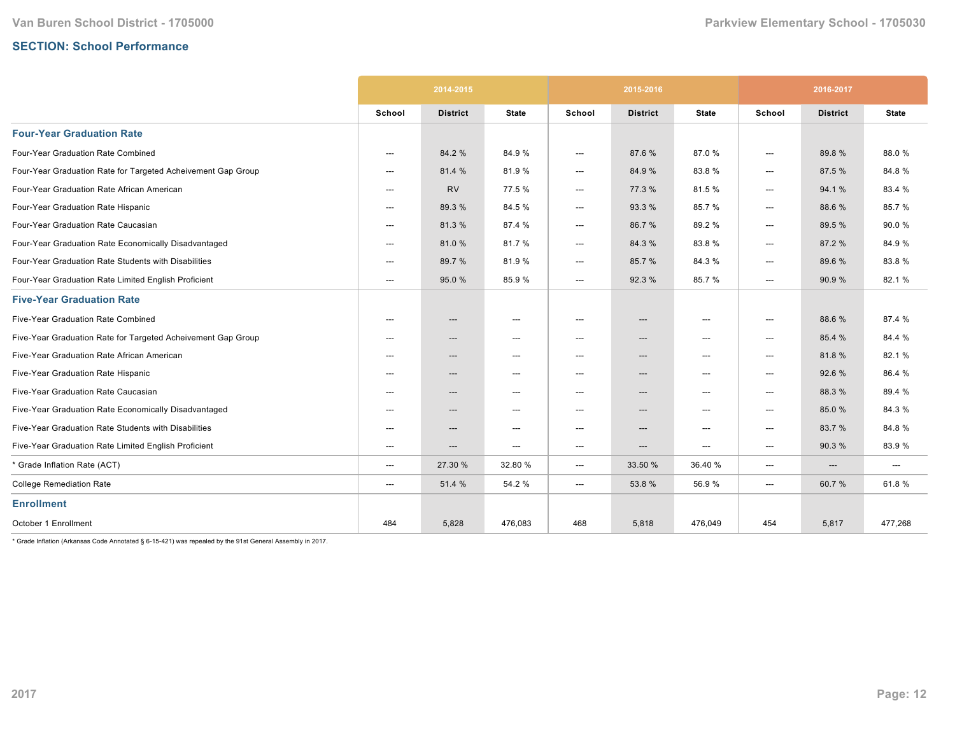# **SECTION: School Performance**

|                                                              |                          | 2014-2015                |                          | 2015-2016                |                                   |              | 2016-2017              |                                   |                                   |
|--------------------------------------------------------------|--------------------------|--------------------------|--------------------------|--------------------------|-----------------------------------|--------------|------------------------|-----------------------------------|-----------------------------------|
|                                                              | School                   | <b>District</b>          | <b>State</b>             | School                   | <b>District</b>                   | <b>State</b> | School                 | <b>District</b>                   | <b>State</b>                      |
| <b>Four-Year Graduation Rate</b>                             |                          |                          |                          |                          |                                   |              |                        |                                   |                                   |
| Four-Year Graduation Rate Combined                           | $---$                    | 84.2 %                   | 84.9%                    | ---                      | 87.6%                             | 87.0%        | $---$                  | 89.8%                             | 88.0%                             |
| Four-Year Graduation Rate for Targeted Acheivement Gap Group | ---                      | 81.4 %                   | 81.9%                    | ---                      | 84.9%                             | 83.8%        | $---$                  | 87.5 %                            | 84.8%                             |
| Four-Year Graduation Rate African American                   | $---$                    | <b>RV</b>                | 77.5 %                   | $\hspace{0.05cm} \ldots$ | 77.3 %                            | 81.5%        | ---                    | 94.1 %                            | 83.4 %                            |
| Four-Year Graduation Rate Hispanic                           | ---                      | 89.3%                    | 84.5%                    | ---                      | 93.3 %                            | 85.7%        | ---                    | 88.6%                             | 85.7%                             |
| Four-Year Graduation Rate Caucasian                          | $---$                    | 81.3%                    | 87.4 %                   | ---                      | 86.7%                             | 89.2%        | $---$                  | 89.5 %                            | 90.0%                             |
| Four-Year Graduation Rate Economically Disadvantaged         | ---                      | 81.0%                    | 81.7%                    | ---                      | 84.3%                             | 83.8%        | ---                    | 87.2 %                            | 84.9%                             |
| Four-Year Graduation Rate Students with Disabilities         | $---$                    | 89.7 %                   | 81.9%                    | ---                      | 85.7%                             | 84.3%        | ---                    | 89.6 %                            | 83.8%                             |
| Four-Year Graduation Rate Limited English Proficient         | ---                      | 95.0 %                   | 85.9%                    | ---                      | 92.3 %                            | 85.7%        | $\qquad \qquad \cdots$ | 90.9 %                            | 82.1%                             |
| <b>Five-Year Graduation Rate</b>                             |                          |                          |                          |                          |                                   |              |                        |                                   |                                   |
| Five-Year Graduation Rate Combined                           | ---                      | ---                      | $---$                    | ---                      | $---$                             | $---$        | $---$                  | 88.6 %                            | 87.4 %                            |
| Five-Year Graduation Rate for Targeted Acheivement Gap Group | $---$                    | $---$                    | $---$                    | ---                      | ---                               | $---$        | $---$                  | 85.4 %                            | 84.4 %                            |
| Five-Year Graduation Rate African American                   | $---$                    | $---$                    | $---$                    | $---$                    | $---$                             | $---$        | ---                    | 81.8%                             | 82.1%                             |
| Five-Year Graduation Rate Hispanic                           | $\hspace{0.05cm} \ldots$ | $\hspace{0.05cm} \cdots$ | $---$                    | $\hspace{0.05cm} \ldots$ | $---$                             | $---$        | ---                    | 92.6%                             | 86.4%                             |
| Five-Year Graduation Rate Caucasian                          | $---$                    | $---$                    | $---$                    | $---$                    | ---                               | $---$        | $\qquad \qquad \cdots$ | 88.3 %                            | 89.4 %                            |
| Five-Year Graduation Rate Economically Disadvantaged         | $---$                    | $\hspace{0.05cm} \cdots$ | $---$                    | $\hspace{0.05cm} \ldots$ | $\hspace{0.05cm} \dashrightarrow$ | $---$        | ---                    | 85.0%                             | 84.3%                             |
| Five-Year Graduation Rate Students with Disabilities         | $---$                    | $---$                    | $---$                    | $---$                    | ---                               | $---$        | ---                    | 83.7 %                            | 84.8%                             |
| Five-Year Graduation Rate Limited English Proficient         | ---                      | ---                      | $\hspace{0.05cm} \ldots$ | ---                      | ---                               | ---          | ---                    | 90.3%                             | 83.9%                             |
| * Grade Inflation Rate (ACT)                                 | ---                      | 27.30 %                  | 32.80 %                  | ---                      | 33.50 %                           | 36.40%       | ---                    | $\hspace{0.05cm} \dashrightarrow$ | $\hspace{0.05cm} \dashrightarrow$ |
| <b>College Remediation Rate</b>                              | ---                      | 51.4 %                   | 54.2 %                   | ---                      | 53.8 %                            | 56.9%        | ---                    | 60.7%                             | 61.8%                             |
| <b>Enrollment</b>                                            |                          |                          |                          |                          |                                   |              |                        |                                   |                                   |
| October 1 Enrollment                                         | 484                      | 5,828                    | 476,083                  | 468                      | 5,818                             | 476,049      | 454                    | 5,817                             | 477,268                           |

 $*$  Grade Inflation (Arkansas Code Annotated § 6-15-421) was repealed by the 91st General Assembly in 2017.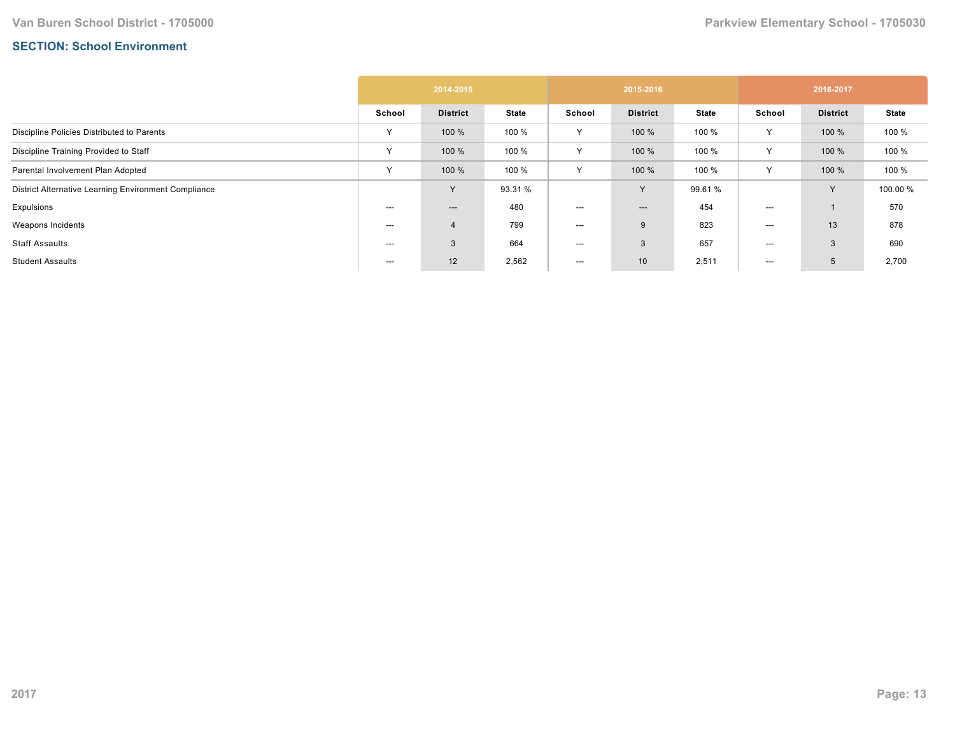## **SECTION: School Environment**

|                                                      | 2014-2015 |                 |              | 2015-2016 |                          |              | 2016-2017 |                 |              |
|------------------------------------------------------|-----------|-----------------|--------------|-----------|--------------------------|--------------|-----------|-----------------|--------------|
|                                                      | School    | <b>District</b> | <b>State</b> | School    | <b>District</b>          | <b>State</b> | School    | <b>District</b> | <b>State</b> |
| Discipline Policies Distributed to Parents           | Y         | 100 %           | 100 %        | Y         | 100 %                    | 100 %        | Y         | 100 %           | 100 %        |
| Discipline Training Provided to Staff                | Y         | 100 %           | 100 %        | Y         | 100 %                    | 100 %        | Υ         | 100 %           | 100 %        |
| Parental Involvement Plan Adopted                    | Y         | 100 %           | 100 %        | Y         | 100 %                    | 100 %        | Υ         | 100 %           | 100 %        |
| District Alternative Learning Environment Compliance |           | $\vee$          | 93.31 %      |           | Y                        | 99.61 %      |           | $\vee$          | 100.00 %     |
| Expulsions                                           | ---       | ---             | 480          | ---       | $\hspace{0.05cm} \ldots$ | 454          | ---       |                 | 570          |
| Weapons Incidents                                    | ---       | 4               | 799          | ---       | 9                        | 823          | $---$     | 13              | 878          |
| Staff Assaults                                       | ---       | 3               | 664          | ---       | 3                        | 657          | ---       | 3               | 690          |
| <b>Student Assaults</b>                              | $---$     | 12              | 2,562        | ---       | 10 <sup>1</sup>          | 2,511        | $---$     | 5               | 2,700        |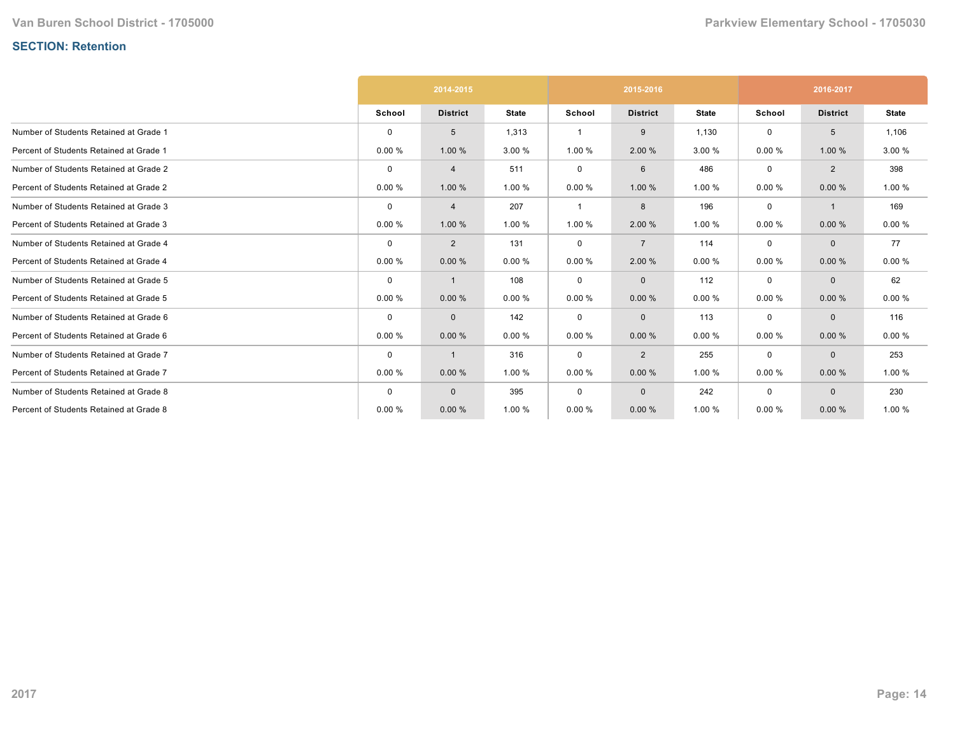# **SECTION: Retention**

|                                         |             | 2014-2015       |              | 2015-2016   |                 |              | 2016-2017   |                 |              |
|-----------------------------------------|-------------|-----------------|--------------|-------------|-----------------|--------------|-------------|-----------------|--------------|
|                                         | School      | <b>District</b> | <b>State</b> | School      | <b>District</b> | <b>State</b> | School      | <b>District</b> | <b>State</b> |
| Number of Students Retained at Grade 1  | $\Omega$    | 5               | 1,313        |             | 9               | 1,130        | 0           | 5               | 1,106        |
| Percent of Students Retained at Grade 1 | 0.00%       | 1.00 %          | 3.00 %       | 1.00 %      | 2.00 %          | 3.00 %       | 0.00%       | 1.00%           | 3.00 %       |
| Number of Students Retained at Grade 2  | $\mathbf 0$ | 4               | 511          | 0           | 6               | 486          | $\mathbf 0$ | 2               | 398          |
| Percent of Students Retained at Grade 2 | 0.00%       | 1.00 %          | 1.00 %       | 0.00%       | 1.00 %          | 1.00 %       | 0.00%       | 0.00%           | 1.00 %       |
| Number of Students Retained at Grade 3  | $\mathbf 0$ | $\overline{4}$  | 207          | -1          | 8               | 196          | $\mathbf 0$ | $\overline{1}$  | 169          |
| Percent of Students Retained at Grade 3 | 0.00%       | 1.00 %          | 1.00 %       | 1.00 %      | 2.00 %          | 1.00 %       | 0.00%       | 0.00%           | 0.00%        |
| Number of Students Retained at Grade 4  | $\mathbf 0$ | $\overline{2}$  | 131          | 0           | $\overline{7}$  | 114          | $\mathbf 0$ | $\mathbf{0}$    | 77           |
| Percent of Students Retained at Grade 4 | 0.00%       | 0.00%           | 0.00%        | 0.00%       | 2.00 %          | 0.00%        | 0.00%       | 0.00%           | 0.00%        |
| Number of Students Retained at Grade 5  | $\mathbf 0$ | $\mathbf{1}$    | 108          | $\mathbf 0$ | $\mathbf{0}$    | 112          | $\mathbf 0$ | $\mathbf{0}$    | 62           |
| Percent of Students Retained at Grade 5 | 0.00%       | 0.00%           | 0.00%        | 0.00%       | 0.00%           | 0.00%        | 0.00%       | 0.00%           | 0.00%        |
| Number of Students Retained at Grade 6  | $\mathbf 0$ | $\mathbf{0}$    | 142          | $\mathbf 0$ | $\mathbf{0}$    | 113          | $\mathbf 0$ | $\mathbf{0}$    | 116          |
| Percent of Students Retained at Grade 6 | 0.00%       | 0.00%           | 0.00%        | 0.00%       | 0.00%           | 0.00%        | 0.00%       | 0.00%           | 0.00%        |
| Number of Students Retained at Grade 7  | $\mathbf 0$ | $\mathbf{1}$    | 316          | $\mathbf 0$ | 2               | 255          | $\mathbf 0$ | $\mathbf{0}$    | 253          |
| Percent of Students Retained at Grade 7 | 0.00%       | 0.00%           | 1.00 %       | 0.00%       | 0.00%           | 1.00 %       | 0.00%       | 0.00%           | 1.00 %       |
| Number of Students Retained at Grade 8  | $\mathbf 0$ | $\mathbf{0}$    | 395          | $\mathbf 0$ | $\mathbf 0$     | 242          | $\mathbf 0$ | $\mathbf 0$     | 230          |
| Percent of Students Retained at Grade 8 | 0.00%       | 0.00%           | 1.00 %       | 0.00%       | 0.00%           | 1.00 %       | 0.00%       | 0.00%           | 1.00 %       |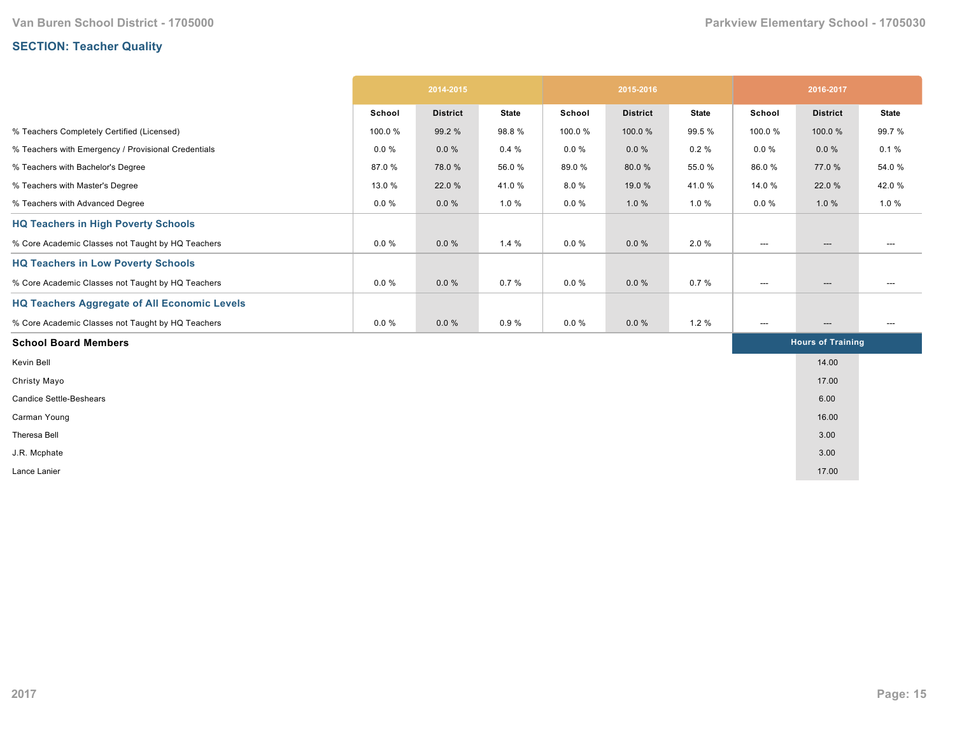# **SECTION: Teacher Quality**

|                                                     | 2014-2015 |                 | 2015-2016    |          |                 | 2016-2017    |                                   |                                   |                                     |
|-----------------------------------------------------|-----------|-----------------|--------------|----------|-----------------|--------------|-----------------------------------|-----------------------------------|-------------------------------------|
|                                                     | School    | <b>District</b> | <b>State</b> | School   | <b>District</b> | <b>State</b> | School                            | <b>District</b>                   | <b>State</b>                        |
| % Teachers Completely Certified (Licensed)          | 100.0%    | 99.2 %          | 98.8%        | 100.0%   | 100.0%          | 99.5 %       | 100.0%                            | 100.0%                            | 99.7%                               |
| % Teachers with Emergency / Provisional Credentials | $0.0 \%$  | $0.0 \%$        | 0.4%         | $0.0 \%$ | $0.0 \%$        | $0.2 \%$     | $0.0 \%$                          | $0.0 \%$                          | 0.1%                                |
| % Teachers with Bachelor's Degree                   | 87.0%     | 78.0%           | 56.0%        | 89.0%    | 80.0%           | 55.0%        | 86.0%                             | 77.0 %                            | 54.0%                               |
| % Teachers with Master's Degree                     | 13.0 %    | 22.0 %          | 41.0%        | 8.0%     | 19.0 %          | 41.0%        | 14.0 %                            | 22.0 %                            | 42.0%                               |
| % Teachers with Advanced Degree                     | $0.0 \%$  | $0.0 \%$        | 1.0%         | $0.0 \%$ | 1.0%            | 1.0%         | $0.0 \%$                          | 1.0%                              | 1.0%                                |
| <b>HQ Teachers in High Poverty Schools</b>          |           |                 |              |          |                 |              |                                   |                                   |                                     |
| % Core Academic Classes not Taught by HQ Teachers   | $0.0 \%$  | $0.0 \%$        | 1.4%         | $0.0 \%$ | $0.0 \%$        | 2.0%         | $\hspace{0.05cm} \cdots$          | $\hspace{0.05cm} \ldots$          | ---                                 |
| <b>HQ Teachers in Low Poverty Schools</b>           |           |                 |              |          |                 |              |                                   |                                   |                                     |
| % Core Academic Classes not Taught by HQ Teachers   | $0.0 \%$  | $0.0 \%$        | 0.7%         | $0.0 \%$ | $0.0 \%$        | 0.7%         | $\hspace{0.05cm} \dashrightarrow$ | $\hspace{0.05cm} \dashrightarrow$ | ---                                 |
| <b>HQ Teachers Aggregate of All Economic Levels</b> |           |                 |              |          |                 |              |                                   |                                   |                                     |
| % Core Academic Classes not Taught by HQ Teachers   | $0.0 \%$  | 0.0%            | 0.9%         | $0.0 \%$ | $0.0 \%$        | 1.2%         | $\hspace{0.05cm} \ldots$          | $\hspace{0.05cm} \ldots$          | $\hspace{0.05cm}---\hspace{0.05cm}$ |
| <b>School Board Members</b>                         |           |                 |              |          |                 |              |                                   | <b>Hours of Training</b>          |                                     |
| Kevin Bell                                          |           |                 |              |          |                 |              |                                   | 14.00                             |                                     |
| Christy Mayo                                        |           |                 |              |          |                 |              |                                   | 17.00                             |                                     |
| <b>Candice Settle-Beshears</b>                      |           |                 |              |          |                 |              |                                   | 6.00                              |                                     |
| Carman Young                                        |           |                 |              |          |                 |              |                                   | 16.00                             |                                     |
| Theresa Bell                                        |           |                 |              |          |                 |              |                                   | 3.00                              |                                     |
| J.R. Mcphate                                        |           |                 |              |          |                 |              |                                   | 3.00                              |                                     |
| Lance Lanier                                        |           |                 |              |          |                 |              |                                   | 17.00                             |                                     |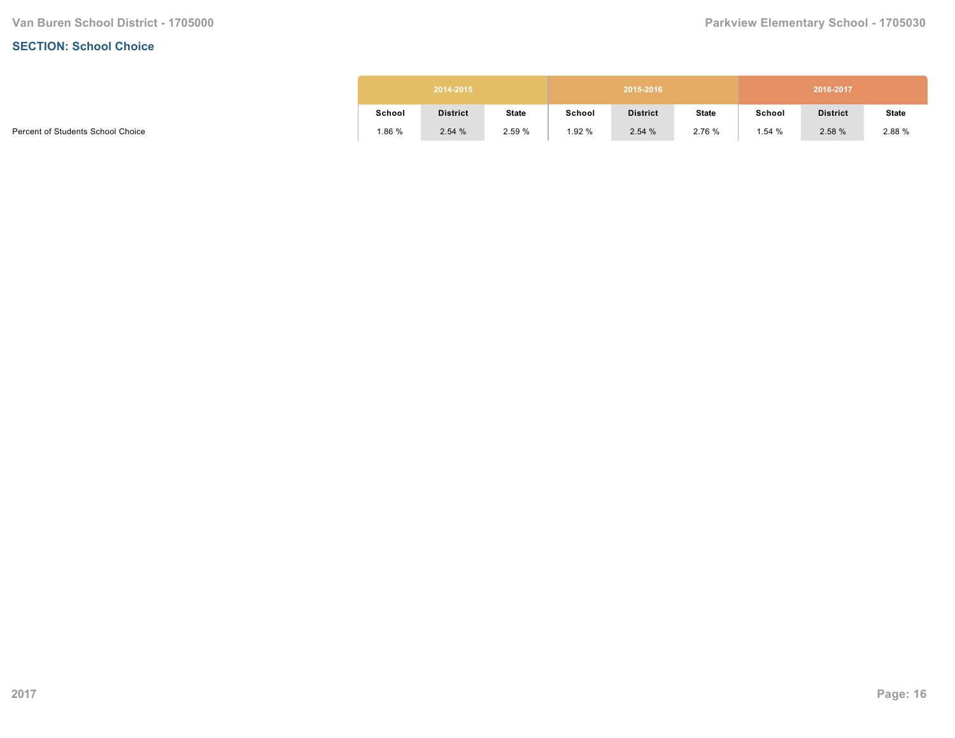#### **SECTION: School Choice**

| 2014-2015<br>2015-2016 |                 |              |        |                 |              |        | 2016-2017       |              |
|------------------------|-----------------|--------------|--------|-----------------|--------------|--------|-----------------|--------------|
| School                 | <b>District</b> | <b>State</b> | School | <b>District</b> | <b>State</b> | School | <b>District</b> | <b>State</b> |
| .86%                   | 2.54%           | 2.59%        | 1.92 % | 2.54%           | 2.76 %       | 1.54 % | 2.58 %          | 2.88 %       |

Percent of Students School Choice